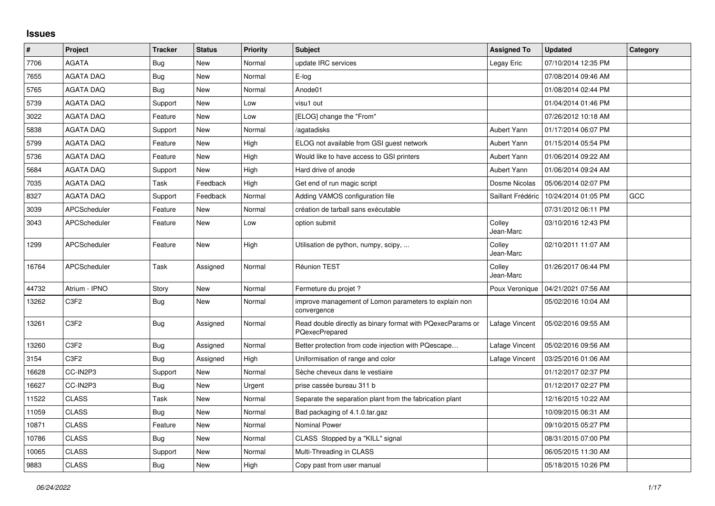## **Issues**

| #     | Project             | <b>Tracker</b> | <b>Status</b> | <b>Priority</b> | <b>Subject</b>                                                                      | <b>Assigned To</b>  | <b>Updated</b>      | Category |
|-------|---------------------|----------------|---------------|-----------------|-------------------------------------------------------------------------------------|---------------------|---------------------|----------|
| 7706  | <b>AGATA</b>        | Bug            | <b>New</b>    | Normal          | update IRC services                                                                 | Legay Eric          | 07/10/2014 12:35 PM |          |
| 7655  | <b>AGATA DAQ</b>    | <b>Bug</b>     | <b>New</b>    | Normal          | E-log                                                                               |                     | 07/08/2014 09:46 AM |          |
| 5765  | AGATA DAQ           | Bug            | <b>New</b>    | Normal          | Anode01                                                                             |                     | 01/08/2014 02:44 PM |          |
| 5739  | <b>AGATA DAQ</b>    | Support        | <b>New</b>    | Low             | visu1 out                                                                           |                     | 01/04/2014 01:46 PM |          |
| 3022  | <b>AGATA DAQ</b>    | Feature        | New           | Low             | [ELOG] change the "From"                                                            |                     | 07/26/2012 10:18 AM |          |
| 5838  | <b>AGATA DAQ</b>    | Support        | <b>New</b>    | Normal          | aqatadisks                                                                          | Aubert Yann         | 01/17/2014 06:07 PM |          |
| 5799  | <b>AGATA DAQ</b>    | Feature        | <b>New</b>    | High            | ELOG not available from GSI guest network                                           | Aubert Yann         | 01/15/2014 05:54 PM |          |
| 5736  | <b>AGATA DAQ</b>    | Feature        | <b>New</b>    | High            | Would like to have access to GSI printers                                           | Aubert Yann         | 01/06/2014 09:22 AM |          |
| 5684  | <b>AGATA DAQ</b>    | Support        | <b>New</b>    | High            | Hard drive of anode                                                                 | Aubert Yann         | 01/06/2014 09:24 AM |          |
| 7035  | <b>AGATA DAQ</b>    | Task           | Feedback      | High            | Get end of run magic script                                                         | Dosme Nicolas       | 05/06/2014 02:07 PM |          |
| 8327  | <b>AGATA DAQ</b>    | Support        | Feedback      | Normal          | Adding VAMOS configuration file                                                     | Saillant Frédéric   | 10/24/2014 01:05 PM | GCC      |
| 3039  | <b>APCScheduler</b> | Feature        | <b>New</b>    | Normal          | création de tarball sans exécutable                                                 |                     | 07/31/2012 06:11 PM |          |
| 3043  | <b>APCScheduler</b> | Feature        | <b>New</b>    | Low             | option submit                                                                       | Colley<br>Jean-Marc | 03/10/2016 12:43 PM |          |
| 1299  | <b>APCScheduler</b> | Feature        | <b>New</b>    | High            | Utilisation de python, numpy, scipy,                                                | Colley<br>Jean-Marc | 02/10/2011 11:07 AM |          |
| 16764 | <b>APCScheduler</b> | Task           | Assigned      | Normal          | Réunion TEST                                                                        | Colley<br>Jean-Marc | 01/26/2017 06:44 PM |          |
| 44732 | Atrium - IPNO       | Story          | <b>New</b>    | Normal          | Fermeture du projet?                                                                | Poux Veronique      | 04/21/2021 07:56 AM |          |
| 13262 | C3F2                | <b>Bug</b>     | <b>New</b>    | Normal          | mprove management of Lomon parameters to explain non<br>convergence                 |                     | 05/02/2016 10:04 AM |          |
| 13261 | C3F2                | <b>Bug</b>     | Assigned      | Normal          | Read double directly as binary format with PQexecParams or<br><b>PQexecPrepared</b> | Lafage Vincent      | 05/02/2016 09:55 AM |          |
| 13260 | C3F2                | <b>Bug</b>     | Assigned      | Normal          | Better protection from code injection with PQescape                                 | Lafage Vincent      | 05/02/2016 09:56 AM |          |
| 3154  | C3F2                | Bug            | Assigned      | High            | Uniformisation of range and color                                                   | Lafage Vincent      | 03/25/2016 01:06 AM |          |
| 16628 | CC-IN2P3            | Support        | <b>New</b>    | Normal          | Sèche cheveux dans le vestiaire                                                     |                     | 01/12/2017 02:37 PM |          |
| 16627 | CC-IN2P3            | <b>Bug</b>     | <b>New</b>    | Urgent          | prise cassée bureau 311 b                                                           |                     | 01/12/2017 02:27 PM |          |
| 11522 | <b>CLASS</b>        | Task           | <b>New</b>    | Normal          | Separate the separation plant from the fabrication plant                            |                     | 12/16/2015 10:22 AM |          |
| 11059 | <b>CLASS</b>        | Bug            | <b>New</b>    | Normal          | Bad packaging of 4.1.0.tar.gaz                                                      |                     | 10/09/2015 06:31 AM |          |
| 10871 | <b>CLASS</b>        | Feature        | <b>New</b>    | Normal          | <b>Nominal Power</b>                                                                |                     | 09/10/2015 05:27 PM |          |
| 10786 | <b>CLASS</b>        | Bug            | New           | Normal          | CLASS Stopped by a "KILL" signal                                                    |                     | 08/31/2015 07:00 PM |          |
| 10065 | <b>CLASS</b>        | Support        | <b>New</b>    | Normal          | Multi-Threading in CLASS                                                            |                     | 06/05/2015 11:30 AM |          |
| 9883  | <b>CLASS</b>        | <b>Bug</b>     | <b>New</b>    | High            | Copy past from user manual                                                          |                     | 05/18/2015 10:26 PM |          |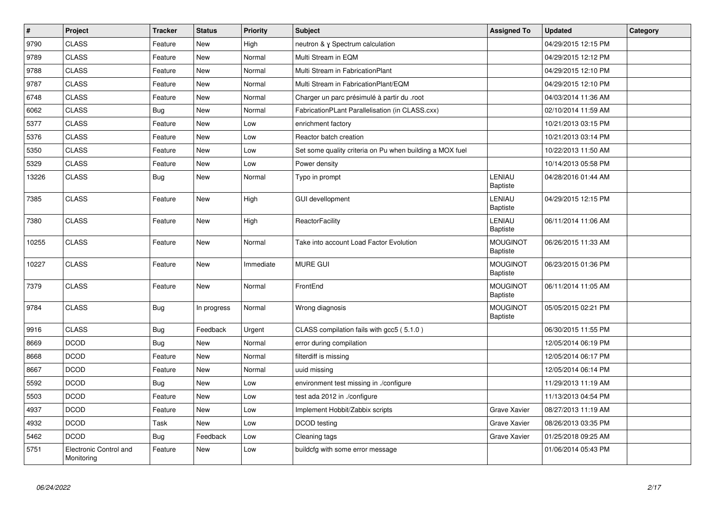| $\sharp$ | Project                              | <b>Tracker</b> | <b>Status</b> | Priority  | <b>Subject</b>                                           | <b>Assigned To</b>                 | <b>Updated</b>      | Category |
|----------|--------------------------------------|----------------|---------------|-----------|----------------------------------------------------------|------------------------------------|---------------------|----------|
| 9790     | <b>CLASS</b>                         | Feature        | <b>New</b>    | High      | neutron & y Spectrum calculation                         |                                    | 04/29/2015 12:15 PM |          |
| 9789     | <b>CLASS</b>                         | Feature        | <b>New</b>    | Normal    | Multi Stream in EQM                                      |                                    | 04/29/2015 12:12 PM |          |
| 9788     | <b>CLASS</b>                         | Feature        | <b>New</b>    | Normal    | Multi Stream in FabricationPlant                         |                                    | 04/29/2015 12:10 PM |          |
| 9787     | <b>CLASS</b>                         | Feature        | <b>New</b>    | Normal    | Multi Stream in FabricationPlant/EQM                     |                                    | 04/29/2015 12:10 PM |          |
| 6748     | <b>CLASS</b>                         | Feature        | New           | Normal    | Charger un parc présimulé à partir du .root              |                                    | 04/03/2014 11:36 AM |          |
| 6062     | <b>CLASS</b>                         | Bug            | <b>New</b>    | Normal    | FabricationPLant Parallelisation (in CLASS.cxx)          |                                    | 02/10/2014 11:59 AM |          |
| 5377     | <b>CLASS</b>                         | Feature        | <b>New</b>    | Low       | enrichment factory                                       |                                    | 10/21/2013 03:15 PM |          |
| 5376     | <b>CLASS</b>                         | Feature        | New           | Low       | Reactor batch creation                                   |                                    | 10/21/2013 03:14 PM |          |
| 5350     | <b>CLASS</b>                         | Feature        | <b>New</b>    | Low       | Set some quality criteria on Pu when building a MOX fuel |                                    | 10/22/2013 11:50 AM |          |
| 5329     | <b>CLASS</b>                         | Feature        | <b>New</b>    | Low       | Power density                                            |                                    | 10/14/2013 05:58 PM |          |
| 13226    | <b>CLASS</b>                         | <b>Bug</b>     | <b>New</b>    | Normal    | Typo in prompt                                           | LENIAU<br><b>Baptiste</b>          | 04/28/2016 01:44 AM |          |
| 7385     | <b>CLASS</b>                         | Feature        | New           | High      | <b>GUI devellopment</b>                                  | LENIAU<br><b>Baptiste</b>          | 04/29/2015 12:15 PM |          |
| 7380     | <b>CLASS</b>                         | Feature        | New           | High      | <b>ReactorFacility</b>                                   | LENIAU<br><b>Baptiste</b>          | 06/11/2014 11:06 AM |          |
| 10255    | <b>CLASS</b>                         | Feature        | <b>New</b>    | Normal    | Take into account Load Factor Evolution                  | <b>MOUGINOT</b><br><b>Baptiste</b> | 06/26/2015 11:33 AM |          |
| 10227    | <b>CLASS</b>                         | Feature        | <b>New</b>    | Immediate | <b>MURE GUI</b>                                          | <b>MOUGINOT</b><br><b>Baptiste</b> | 06/23/2015 01:36 PM |          |
| 7379     | <b>CLASS</b>                         | Feature        | New           | Normal    | FrontEnd                                                 | <b>MOUGINOT</b><br>Baptiste        | 06/11/2014 11:05 AM |          |
| 9784     | <b>CLASS</b>                         | <b>Bug</b>     | In progress   | Normal    | Wrong diagnosis                                          | <b>MOUGINOT</b><br>Baptiste        | 05/05/2015 02:21 PM |          |
| 9916     | <b>CLASS</b>                         | Bug            | Feedback      | Urgent    | CLASS compilation fails with gcc5 (5.1.0)                |                                    | 06/30/2015 11:55 PM |          |
| 8669     | <b>DCOD</b>                          | <b>Bug</b>     | <b>New</b>    | Normal    | error during compilation                                 |                                    | 12/05/2014 06:19 PM |          |
| 8668     | <b>DCOD</b>                          | Feature        | <b>New</b>    | Normal    | filterdiff is missing                                    |                                    | 12/05/2014 06:17 PM |          |
| 8667     | <b>DCOD</b>                          | Feature        | <b>New</b>    | Normal    | uuid missing                                             |                                    | 12/05/2014 06:14 PM |          |
| 5592     | <b>DCOD</b>                          | Bug            | <b>New</b>    | Low       | environment test missing in ./configure                  |                                    | 11/29/2013 11:19 AM |          |
| 5503     | <b>DCOD</b>                          | Feature        | <b>New</b>    | Low       | test ada 2012 in ./configure                             |                                    | 11/13/2013 04:54 PM |          |
| 4937     | <b>DCOD</b>                          | Feature        | <b>New</b>    | Low       | Implement Hobbit/Zabbix scripts                          | Grave Xavier                       | 08/27/2013 11:19 AM |          |
| 4932     | <b>DCOD</b>                          | Task           | <b>New</b>    | Low       | DCOD testing                                             | Grave Xavier                       | 08/26/2013 03:35 PM |          |
| 5462     | <b>DCOD</b>                          | Bug            | Feedback      | Low       | Cleaning tags                                            | <b>Grave Xavier</b>                | 01/25/2018 09:25 AM |          |
| 5751     | Electronic Control and<br>Monitoring | Feature        | <b>New</b>    | Low       | buildcfg with some error message                         |                                    | 01/06/2014 05:43 PM |          |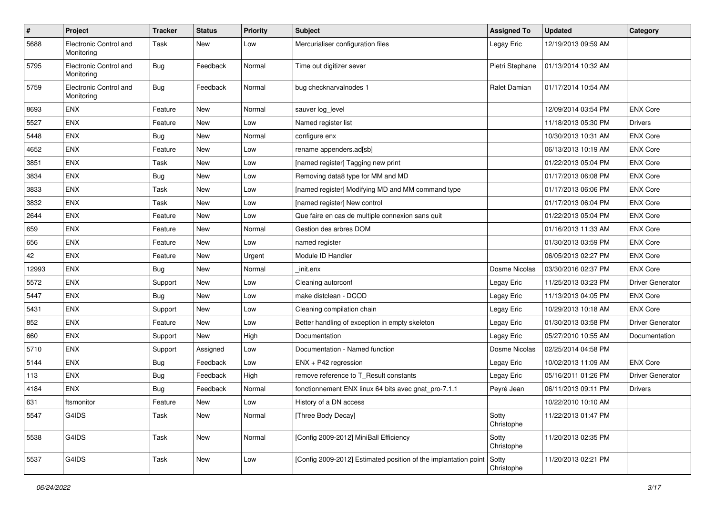| $\sharp$ | Project                              | <b>Tracker</b> | <b>Status</b> | <b>Priority</b> | <b>Subject</b>                                                  | <b>Assigned To</b>  | <b>Updated</b>      | Category                |
|----------|--------------------------------------|----------------|---------------|-----------------|-----------------------------------------------------------------|---------------------|---------------------|-------------------------|
| 5688     | Electronic Control and<br>Monitoring | Task           | New           | Low             | Mercurialiser configuration files                               | Legay Eric          | 12/19/2013 09:59 AM |                         |
| 5795     | Electronic Control and<br>Monitoring | <b>Bug</b>     | Feedback      | Normal          | Time out digitizer sever                                        | Pietri Stephane     | 01/13/2014 10:32 AM |                         |
| 5759     | Electronic Control and<br>Monitoring | Bug            | Feedback      | Normal          | bug checknarvalnodes 1                                          | Ralet Damian        | 01/17/2014 10:54 AM |                         |
| 8693     | ENX                                  | Feature        | New           | Normal          | sauver log_level                                                |                     | 12/09/2014 03:54 PM | <b>ENX Core</b>         |
| 5527     | ENX                                  | Feature        | New           | Low             | Named register list                                             |                     | 11/18/2013 05:30 PM | <b>Drivers</b>          |
| 5448     | ENX                                  | <b>Bug</b>     | New           | Normal          | configure enx                                                   |                     | 10/30/2013 10:31 AM | <b>ENX Core</b>         |
| 4652     | ENX                                  | Feature        | <b>New</b>    | Low             | rename appenders.ad[sb]                                         |                     | 06/13/2013 10:19 AM | <b>ENX Core</b>         |
| 3851     | ENX                                  | Task           | New           | Low             | [named register] Tagging new print                              |                     | 01/22/2013 05:04 PM | <b>ENX Core</b>         |
| 3834     | <b>ENX</b>                           | <b>Bug</b>     | <b>New</b>    | Low             | Removing data8 type for MM and MD                               |                     | 01/17/2013 06:08 PM | <b>ENX Core</b>         |
| 3833     | <b>ENX</b>                           | Task           | New           | Low             | [named register] Modifying MD and MM command type               |                     | 01/17/2013 06:06 PM | <b>ENX Core</b>         |
| 3832     | <b>ENX</b>                           | Task           | <b>New</b>    | Low             | [named register] New control                                    |                     | 01/17/2013 06:04 PM | <b>ENX Core</b>         |
| 2644     | ENX                                  | Feature        | New           | Low             | Que faire en cas de multiple connexion sans quit                |                     | 01/22/2013 05:04 PM | <b>ENX Core</b>         |
| 659      | ENX                                  | Feature        | New           | Normal          | Gestion des arbres DOM                                          |                     | 01/16/2013 11:33 AM | <b>ENX Core</b>         |
| 656      | ENX                                  | Feature        | New           | Low             | named register                                                  |                     | 01/30/2013 03:59 PM | <b>ENX Core</b>         |
| 42       | ENX                                  | Feature        | New           | Urgent          | Module ID Handler                                               |                     | 06/05/2013 02:27 PM | <b>ENX Core</b>         |
| 12993    | ENX                                  | <b>Bug</b>     | <b>New</b>    | Normal          | init.enx                                                        | Dosme Nicolas       | 03/30/2016 02:37 PM | <b>ENX Core</b>         |
| 5572     | <b>ENX</b>                           | Support        | New           | Low             | Cleaning autorconf                                              | Legay Eric          | 11/25/2013 03:23 PM | <b>Driver Generator</b> |
| 5447     | <b>ENX</b>                           | <b>Bug</b>     | New           | Low             | make distclean - DCOD                                           | Legay Eric          | 11/13/2013 04:05 PM | <b>ENX Core</b>         |
| 5431     | ENX                                  | Support        | New           | Low             | Cleaning compilation chain                                      | Legay Eric          | 10/29/2013 10:18 AM | <b>ENX Core</b>         |
| 852      | ENX                                  | Feature        | New           | Low             | Better handling of exception in empty skeleton                  | Legay Eric          | 01/30/2013 03:58 PM | <b>Driver Generator</b> |
| 660      | ENX                                  | Support        | New           | High            | Documentation                                                   | Legay Eric          | 05/27/2010 10:55 AM | Documentation           |
| 5710     | <b>ENX</b>                           | Support        | Assigned      | Low             | Documentation - Named function                                  | Dosme Nicolas       | 02/25/2014 04:58 PM |                         |
| 5144     | ENX                                  | <b>Bug</b>     | Feedback      | Low             | ENX + P42 regression                                            | Legay Eric          | 10/02/2013 11:09 AM | <b>ENX Core</b>         |
| 113      | ENX                                  | Bug            | Feedback      | High            | remove reference to T Result constants                          | Legay Eric          | 05/16/2011 01:26 PM | Driver Generator        |
| 4184     | <b>ENX</b>                           | Bug            | Feedback      | Normal          | fonctionnement ENX linux 64 bits avec gnat_pro-7.1.1            | Peyré Jean          | 06/11/2013 09:11 PM | <b>Drivers</b>          |
| 631      | ftsmonitor                           | Feature        | New           | Low             | History of a DN access                                          |                     | 10/22/2010 10:10 AM |                         |
| 5547     | G4IDS                                | Task           | New           | Normal          | [Three Body Decay]                                              | Sotty<br>Christophe | 11/22/2013 01:47 PM |                         |
| 5538     | G4IDS                                | Task           | New           | Normal          | [Config 2009-2012] MiniBall Efficiency                          | Sotty<br>Christophe | 11/20/2013 02:35 PM |                         |
| 5537     | G4IDS                                | Task           | New           | Low             | [Config 2009-2012] Estimated position of the implantation point | Sotty<br>Christophe | 11/20/2013 02:21 PM |                         |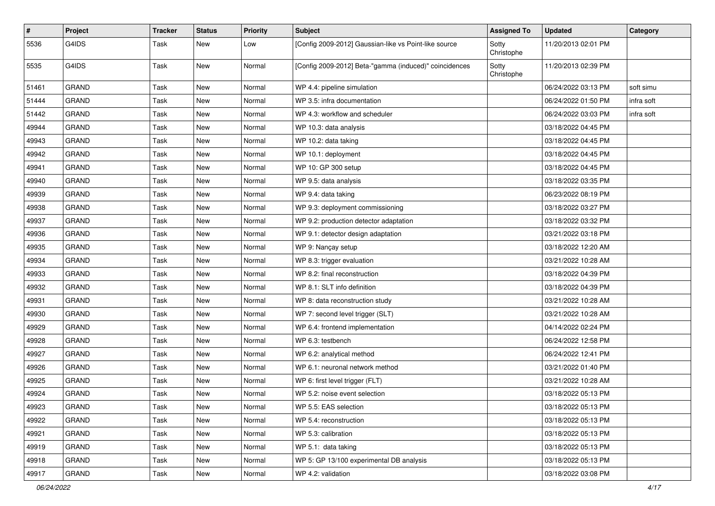| $\pmb{\#}$ | Project      | <b>Tracker</b> | <b>Status</b> | <b>Priority</b> | <b>Subject</b>                                         | <b>Assigned To</b>  | <b>Updated</b>      | Category   |
|------------|--------------|----------------|---------------|-----------------|--------------------------------------------------------|---------------------|---------------------|------------|
| 5536       | G4IDS        | Task           | New           | Low             | [Config 2009-2012] Gaussian-like vs Point-like source  | Sotty<br>Christophe | 11/20/2013 02:01 PM |            |
| 5535       | G4IDS        | Task           | <b>New</b>    | Normal          | [Config 2009-2012] Beta-"gamma (induced)" coincidences | Sotty<br>Christophe | 11/20/2013 02:39 PM |            |
| 51461      | <b>GRAND</b> | Task           | New           | Normal          | WP 4.4: pipeline simulation                            |                     | 06/24/2022 03:13 PM | soft simu  |
| 51444      | <b>GRAND</b> | Task           | New           | Normal          | WP 3.5: infra documentation                            |                     | 06/24/2022 01:50 PM | infra soft |
| 51442      | <b>GRAND</b> | Task           | <b>New</b>    | Normal          | WP 4.3: workflow and scheduler                         |                     | 06/24/2022 03:03 PM | infra soft |
| 49944      | <b>GRAND</b> | Task           | New           | Normal          | WP 10.3: data analysis                                 |                     | 03/18/2022 04:45 PM |            |
| 49943      | <b>GRAND</b> | Task           | New           | Normal          | WP 10.2: data taking                                   |                     | 03/18/2022 04:45 PM |            |
| 49942      | <b>GRAND</b> | Task           | New           | Normal          | WP 10.1: deployment                                    |                     | 03/18/2022 04:45 PM |            |
| 49941      | <b>GRAND</b> | Task           | <b>New</b>    | Normal          | WP 10: GP 300 setup                                    |                     | 03/18/2022 04:45 PM |            |
| 49940      | <b>GRAND</b> | Task           | <b>New</b>    | Normal          | WP 9.5: data analysis                                  |                     | 03/18/2022 03:35 PM |            |
| 49939      | <b>GRAND</b> | Task           | New           | Normal          | WP 9.4: data taking                                    |                     | 06/23/2022 08:19 PM |            |
| 49938      | <b>GRAND</b> | Task           | <b>New</b>    | Normal          | WP 9.3: deployment commissioning                       |                     | 03/18/2022 03:27 PM |            |
| 49937      | <b>GRAND</b> | Task           | <b>New</b>    | Normal          | WP 9.2: production detector adaptation                 |                     | 03/18/2022 03:32 PM |            |
| 49936      | <b>GRAND</b> | Task           | New           | Normal          | WP 9.1: detector design adaptation                     |                     | 03/21/2022 03:18 PM |            |
| 49935      | <b>GRAND</b> | Task           | <b>New</b>    | Normal          | WP 9: Nançay setup                                     |                     | 03/18/2022 12:20 AM |            |
| 49934      | <b>GRAND</b> | Task           | New           | Normal          | WP 8.3: trigger evaluation                             |                     | 03/21/2022 10:28 AM |            |
| 49933      | <b>GRAND</b> | Task           | <b>New</b>    | Normal          | WP 8.2: final reconstruction                           |                     | 03/18/2022 04:39 PM |            |
| 49932      | <b>GRAND</b> | Task           | <b>New</b>    | Normal          | WP 8.1: SLT info definition                            |                     | 03/18/2022 04:39 PM |            |
| 49931      | <b>GRAND</b> | Task           | New           | Normal          | WP 8: data reconstruction study                        |                     | 03/21/2022 10:28 AM |            |
| 49930      | <b>GRAND</b> | Task           | New           | Normal          | WP 7: second level trigger (SLT)                       |                     | 03/21/2022 10:28 AM |            |
| 49929      | <b>GRAND</b> | Task           | New           | Normal          | WP 6.4: frontend implementation                        |                     | 04/14/2022 02:24 PM |            |
| 49928      | <b>GRAND</b> | Task           | <b>New</b>    | Normal          | WP 6.3: testbench                                      |                     | 06/24/2022 12:58 PM |            |
| 49927      | <b>GRAND</b> | Task           | <b>New</b>    | Normal          | WP 6.2: analytical method                              |                     | 06/24/2022 12:41 PM |            |
| 49926      | <b>GRAND</b> | Task           | New           | Normal          | WP 6.1: neuronal network method                        |                     | 03/21/2022 01:40 PM |            |
| 49925      | <b>GRAND</b> | Task           | New           | Normal          | WP 6: first level trigger (FLT)                        |                     | 03/21/2022 10:28 AM |            |
| 49924      | <b>GRAND</b> | Task           | <b>New</b>    | Normal          | WP 5.2: noise event selection                          |                     | 03/18/2022 05:13 PM |            |
| 49923      | GRAND        | Task           | New           | Normal          | WP 5.5: EAS selection                                  |                     | 03/18/2022 05:13 PM |            |
| 49922      | GRAND        | Task           | New           | Normal          | WP 5.4: reconstruction                                 |                     | 03/18/2022 05:13 PM |            |
| 49921      | GRAND        | Task           | New           | Normal          | WP 5.3: calibration                                    |                     | 03/18/2022 05:13 PM |            |
| 49919      | <b>GRAND</b> | Task           | New           | Normal          | WP 5.1: data taking                                    |                     | 03/18/2022 05:13 PM |            |
| 49918      | GRAND        | Task           | New           | Normal          | WP 5: GP 13/100 experimental DB analysis               |                     | 03/18/2022 05:13 PM |            |
| 49917      | <b>GRAND</b> | Task           | New           | Normal          | WP 4.2: validation                                     |                     | 03/18/2022 03:08 PM |            |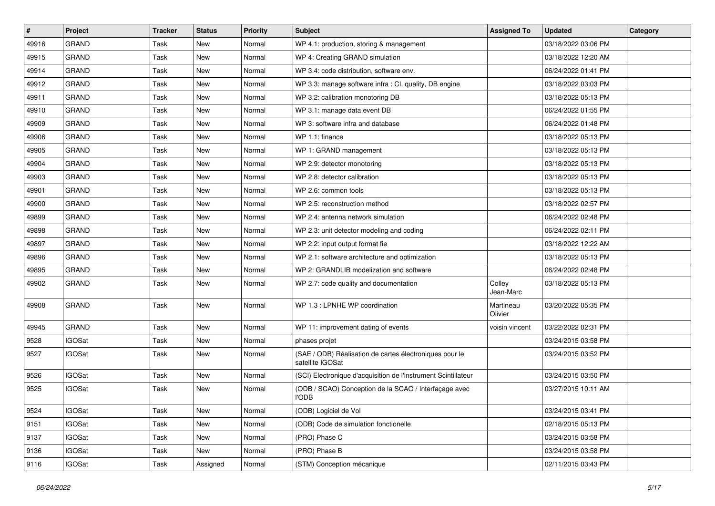| #     | Project       | <b>Tracker</b> | <b>Status</b> | <b>Priority</b> | <b>Subject</b>                                                              | <b>Assigned To</b>   | <b>Updated</b>      | Category |
|-------|---------------|----------------|---------------|-----------------|-----------------------------------------------------------------------------|----------------------|---------------------|----------|
| 49916 | <b>GRAND</b>  | Task           | <b>New</b>    | Normal          | WP 4.1: production, storing & management                                    |                      | 03/18/2022 03:06 PM |          |
| 49915 | <b>GRAND</b>  | Task           | <b>New</b>    | Normal          | WP 4: Creating GRAND simulation                                             |                      | 03/18/2022 12:20 AM |          |
| 49914 | <b>GRAND</b>  | Task           | <b>New</b>    | Normal          | WP 3.4: code distribution, software env.                                    |                      | 06/24/2022 01:41 PM |          |
| 49912 | <b>GRAND</b>  | Task           | <b>New</b>    | Normal          | WP 3.3: manage software infra : CI, quality, DB engine                      |                      | 03/18/2022 03:03 PM |          |
| 49911 | <b>GRAND</b>  | Task           | <b>New</b>    | Normal          | WP 3.2: calibration monotoring DB                                           |                      | 03/18/2022 05:13 PM |          |
| 49910 | <b>GRAND</b>  | Task           | New           | Normal          | WP 3.1: manage data event DB                                                |                      | 06/24/2022 01:55 PM |          |
| 49909 | <b>GRAND</b>  | Task           | <b>New</b>    | Normal          | WP 3: software infra and database                                           |                      | 06/24/2022 01:48 PM |          |
| 49906 | <b>GRAND</b>  | Task           | New           | Normal          | WP 1.1: finance                                                             |                      | 03/18/2022 05:13 PM |          |
| 49905 | <b>GRAND</b>  | Task           | <b>New</b>    | Normal          | WP 1: GRAND management                                                      |                      | 03/18/2022 05:13 PM |          |
| 49904 | <b>GRAND</b>  | Task           | <b>New</b>    | Normal          | WP 2.9: detector monotoring                                                 |                      | 03/18/2022 05:13 PM |          |
| 49903 | <b>GRAND</b>  | Task           | <b>New</b>    | Normal          | WP 2.8: detector calibration                                                |                      | 03/18/2022 05:13 PM |          |
| 49901 | <b>GRAND</b>  | Task           | <b>New</b>    | Normal          | WP 2.6: common tools                                                        |                      | 03/18/2022 05:13 PM |          |
| 49900 | <b>GRAND</b>  | Task           | New           | Normal          | WP 2.5: reconstruction method                                               |                      | 03/18/2022 02:57 PM |          |
| 49899 | <b>GRAND</b>  | Task           | New           | Normal          | WP 2.4: antenna network simulation                                          |                      | 06/24/2022 02:48 PM |          |
| 49898 | <b>GRAND</b>  | Task           | <b>New</b>    | Normal          | WP 2.3: unit detector modeling and coding                                   |                      | 06/24/2022 02:11 PM |          |
| 49897 | <b>GRAND</b>  | Task           | New           | Normal          | WP 2.2: input output format fie                                             |                      | 03/18/2022 12:22 AM |          |
| 49896 | <b>GRAND</b>  | Task           | <b>New</b>    | Normal          | WP 2.1: software architecture and optimization                              |                      | 03/18/2022 05:13 PM |          |
| 49895 | <b>GRAND</b>  | Task           | New           | Normal          | WP 2: GRANDLIB modelization and software                                    |                      | 06/24/2022 02:48 PM |          |
| 49902 | <b>GRAND</b>  | Task           | <b>New</b>    | Normal          | WP 2.7: code quality and documentation                                      | Colley<br>Jean-Marc  | 03/18/2022 05:13 PM |          |
| 49908 | <b>GRAND</b>  | Task           | New           | Normal          | WP 1.3 : LPNHE WP coordination                                              | Martineau<br>Olivier | 03/20/2022 05:35 PM |          |
| 49945 | <b>GRAND</b>  | Task           | <b>New</b>    | Normal          | WP 11: improvement dating of events                                         | voisin vincent       | 03/22/2022 02:31 PM |          |
| 9528  | <b>IGOSat</b> | Task           | <b>New</b>    | Normal          | phases projet                                                               |                      | 03/24/2015 03:58 PM |          |
| 9527  | <b>IGOSat</b> | Task           | New           | Normal          | (SAE / ODB) Réalisation de cartes électroniques pour le<br>satellite IGOSat |                      | 03/24/2015 03:52 PM |          |
| 9526  | <b>IGOSat</b> | Task           | <b>New</b>    | Normal          | (SCI) Electronique d'acquisition de l'instrument Scintillateur              |                      | 03/24/2015 03:50 PM |          |
| 9525  | <b>IGOSat</b> | Task           | <b>New</b>    | Normal          | (ODB / SCAO) Conception de la SCAO / Interfaçage avec<br><b>I'ODB</b>       |                      | 03/27/2015 10:11 AM |          |
| 9524  | <b>IGOSat</b> | Task           | New           | Normal          | (ODB) Logiciel de Vol                                                       |                      | 03/24/2015 03:41 PM |          |
| 9151  | <b>IGOSat</b> | Task           | New           | Normal          | (ODB) Code de simulation fonctionelle                                       |                      | 02/18/2015 05:13 PM |          |
| 9137  | <b>IGOSat</b> | Task           | New           | Normal          | (PRO) Phase C                                                               |                      | 03/24/2015 03:58 PM |          |
| 9136  | <b>IGOSat</b> | Task           | New           | Normal          | (PRO) Phase B                                                               |                      | 03/24/2015 03:58 PM |          |
| 9116  | <b>IGOSat</b> | Task           | Assigned      | Normal          | (STM) Conception mécanique                                                  |                      | 02/11/2015 03:43 PM |          |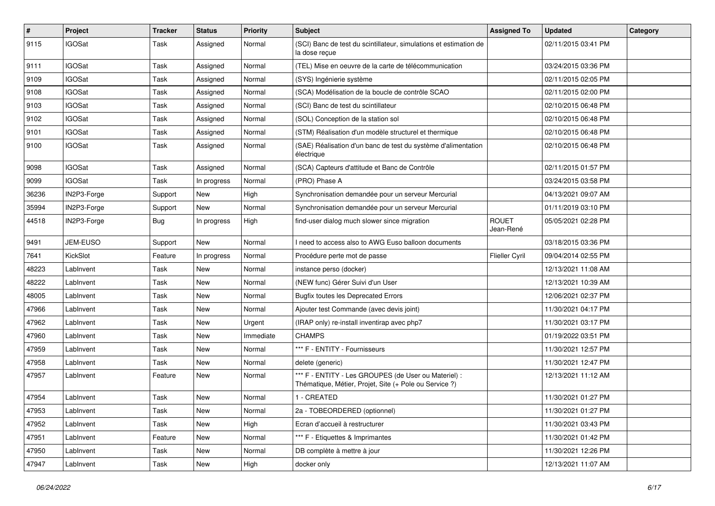| #     | Project       | <b>Tracker</b> | <b>Status</b> | <b>Priority</b> | <b>Subject</b>                                                                                                 | <b>Assigned To</b>        | <b>Updated</b>      | Category |
|-------|---------------|----------------|---------------|-----------------|----------------------------------------------------------------------------------------------------------------|---------------------------|---------------------|----------|
| 9115  | <b>IGOSat</b> | Task           | Assigned      | Normal          | (SCI) Banc de test du scintillateur, simulations et estimation de<br>la dose reçue                             |                           | 02/11/2015 03:41 PM |          |
| 9111  | <b>IGOSat</b> | Task           | Assigned      | Normal          | (TEL) Mise en oeuvre de la carte de télécommunication                                                          |                           | 03/24/2015 03:36 PM |          |
| 9109  | <b>IGOSat</b> | Task           | Assigned      | Normal          | (SYS) Ingénierie système                                                                                       |                           | 02/11/2015 02:05 PM |          |
| 9108  | <b>IGOSat</b> | Task           | Assigned      | Normal          | (SCA) Modélisation de la boucle de contrôle SCAO                                                               |                           | 02/11/2015 02:00 PM |          |
| 9103  | <b>IGOSat</b> | Task           | Assigned      | Normal          | (SCI) Banc de test du scintillateur                                                                            |                           | 02/10/2015 06:48 PM |          |
| 9102  | <b>IGOSat</b> | Task           | Assigned      | Normal          | (SOL) Conception de la station sol                                                                             |                           | 02/10/2015 06:48 PM |          |
| 9101  | <b>IGOSat</b> | Task           | Assigned      | Normal          | (STM) Réalisation d'un modèle structurel et thermique                                                          |                           | 02/10/2015 06:48 PM |          |
| 9100  | <b>IGOSat</b> | Task           | Assigned      | Normal          | (SAE) Réalisation d'un banc de test du système d'alimentation<br>électrique                                    |                           | 02/10/2015 06:48 PM |          |
| 9098  | <b>IGOSat</b> | Task           | Assigned      | Normal          | (SCA) Capteurs d'attitude et Banc de Contrôle                                                                  |                           | 02/11/2015 01:57 PM |          |
| 9099  | <b>IGOSat</b> | Task           | In progress   | Normal          | (PRO) Phase A                                                                                                  |                           | 03/24/2015 03:58 PM |          |
| 36236 | IN2P3-Forge   | Support        | New           | High            | Synchronisation demandée pour un serveur Mercurial                                                             |                           | 04/13/2021 09:07 AM |          |
| 35994 | IN2P3-Forge   | Support        | New           | Normal          | Synchronisation demandée pour un serveur Mercurial                                                             |                           | 01/11/2019 03:10 PM |          |
| 44518 | IN2P3-Forge   | <b>Bug</b>     | In progress   | High            | find-user dialog much slower since migration                                                                   | <b>ROUET</b><br>Jean-René | 05/05/2021 02:28 PM |          |
| 9491  | JEM-EUSO      | Support        | <b>New</b>    | Normal          | I need to access also to AWG Euso balloon documents                                                            |                           | 03/18/2015 03:36 PM |          |
| 7641  | KickSlot      | Feature        | In progress   | Normal          | Procédure perte mot de passe                                                                                   | Flieller Cyril            | 09/04/2014 02:55 PM |          |
| 48223 | LabInvent     | Task           | New           | Normal          | instance perso (docker)                                                                                        |                           | 12/13/2021 11:08 AM |          |
| 48222 | LabInvent     | Task           | New           | Normal          | (NEW func) Gérer Suivi d'un User                                                                               |                           | 12/13/2021 10:39 AM |          |
| 48005 | LabInvent     | Task           | New           | Normal          | <b>Bugfix toutes les Deprecated Errors</b>                                                                     |                           | 12/06/2021 02:37 PM |          |
| 47966 | LabInvent     | Task           | New           | Normal          | Ajouter test Commande (avec devis joint)                                                                       |                           | 11/30/2021 04:17 PM |          |
| 47962 | LabInvent     | Task           | <b>New</b>    | Urgent          | (IRAP only) re-install inventirap avec php7                                                                    |                           | 11/30/2021 03:17 PM |          |
| 47960 | LabInvent     | Task           | New           | Immediate       | <b>CHAMPS</b>                                                                                                  |                           | 01/19/2022 03:51 PM |          |
| 47959 | LabInvent     | Task           | New           | Normal          | *** F - ENTITY - Fournisseurs                                                                                  |                           | 11/30/2021 12:57 PM |          |
| 47958 | LabInvent     | Task           | New           | Normal          | delete (generic)                                                                                               |                           | 11/30/2021 12:47 PM |          |
| 47957 | LabInvent     | Feature        | New           | Normal          | *** F - ENTITY - Les GROUPES (de User ou Materiel) :<br>Thématique, Métier, Projet, Site (+ Pole ou Service ?) |                           | 12/13/2021 11:12 AM |          |
| 47954 | LabInvent     | Task           | New           | Normal          | 1 - CREATED                                                                                                    |                           | 11/30/2021 01:27 PM |          |
| 47953 | LabInvent     | Task           | New           | Normal          | 2a - TOBEORDERED (optionnel)                                                                                   |                           | 11/30/2021 01:27 PM |          |
| 47952 | LabInvent     | Task           | New           | High            | Ecran d'accueil à restructurer                                                                                 |                           | 11/30/2021 03:43 PM |          |
| 47951 | LabInvent     | Feature        | New           | Normal          | *** F - Etiquettes & Imprimantes                                                                               |                           | 11/30/2021 01:42 PM |          |
| 47950 | LabInvent     | Task           | New           | Normal          | DB complète à mettre à jour                                                                                    |                           | 11/30/2021 12:26 PM |          |
| 47947 | LabInvent     | Task           | New           | High            | docker only                                                                                                    |                           | 12/13/2021 11:07 AM |          |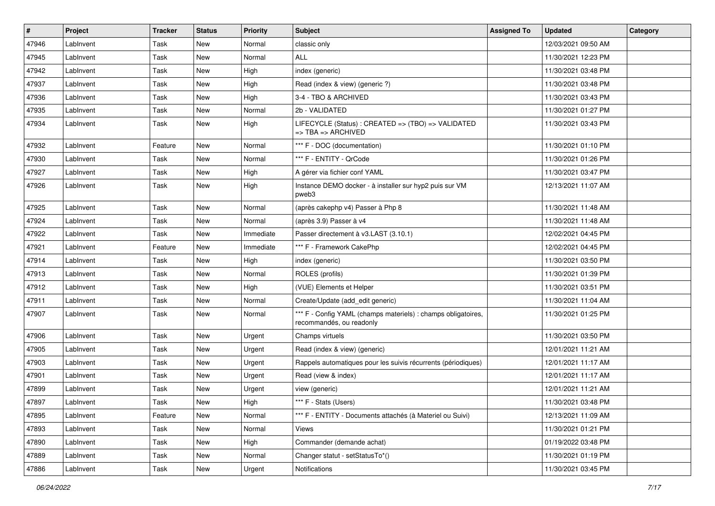| #     | Project   | <b>Tracker</b> | <b>Status</b> | <b>Priority</b> | <b>Subject</b>                                                                                | <b>Assigned To</b> | <b>Updated</b>      | Category |
|-------|-----------|----------------|---------------|-----------------|-----------------------------------------------------------------------------------------------|--------------------|---------------------|----------|
| 47946 | LabInvent | Task           | New           | Normal          | classic only                                                                                  |                    | 12/03/2021 09:50 AM |          |
| 47945 | LabInvent | Task           | <b>New</b>    | Normal          | ALL                                                                                           |                    | 11/30/2021 12:23 PM |          |
| 47942 | LabInvent | Task           | New           | High            | index (generic)                                                                               |                    | 11/30/2021 03:48 PM |          |
| 47937 | LabInvent | Task           | New           | High            | Read (index & view) (generic ?)                                                               |                    | 11/30/2021 03:48 PM |          |
| 47936 | LabInvent | Task           | New           | High            | 3-4 - TBO & ARCHIVED                                                                          |                    | 11/30/2021 03:43 PM |          |
| 47935 | LabInvent | Task           | <b>New</b>    | Normal          | 2b - VALIDATED                                                                                |                    | 11/30/2021 01:27 PM |          |
| 47934 | LabInvent | Task           | <b>New</b>    | High            | LIFECYCLE (Status): CREATED => (TBO) => VALIDATED<br>$\Rightarrow$ TBA $\Rightarrow$ ARCHIVED |                    | 11/30/2021 03:43 PM |          |
| 47932 | LabInvent | Feature        | New           | Normal          | *** F - DOC (documentation)                                                                   |                    | 11/30/2021 01:10 PM |          |
| 47930 | LabInvent | Task           | <b>New</b>    | Normal          | *** F - ENTITY - QrCode                                                                       |                    | 11/30/2021 01:26 PM |          |
| 47927 | LabInvent | Task           | New           | High            | A gérer via fichier conf YAML                                                                 |                    | 11/30/2021 03:47 PM |          |
| 47926 | LabInvent | Task           | New           | High            | Instance DEMO docker - à installer sur hyp2 puis sur VM<br>pweb3                              |                    | 12/13/2021 11:07 AM |          |
| 47925 | LabInvent | Task           | <b>New</b>    | Normal          | (après cakephp v4) Passer à Php 8                                                             |                    | 11/30/2021 11:48 AM |          |
| 47924 | LabInvent | Task           | New           | Normal          | (après 3.9) Passer à v4                                                                       |                    | 11/30/2021 11:48 AM |          |
| 47922 | LabInvent | Task           | New           | Immediate       | Passer directement à v3.LAST (3.10.1)                                                         |                    | 12/02/2021 04:45 PM |          |
| 47921 | LabInvent | Feature        | New           | Immediate       | *** F - Framework CakePhp                                                                     |                    | 12/02/2021 04:45 PM |          |
| 47914 | LabInvent | Task           | New           | High            | index (generic)                                                                               |                    | 11/30/2021 03:50 PM |          |
| 47913 | LabInvent | Task           | New           | Normal          | ROLES (profils)                                                                               |                    | 11/30/2021 01:39 PM |          |
| 47912 | LabInvent | Task           | New           | High            | (VUE) Elements et Helper                                                                      |                    | 11/30/2021 03:51 PM |          |
| 47911 | LabInvent | Task           | New           | Normal          | Create/Update (add edit generic)                                                              |                    | 11/30/2021 11:04 AM |          |
| 47907 | LabInvent | Task           | New           | Normal          | *** F - Config YAML (champs materiels) : champs obligatoires,<br>recommandés, ou readonly     |                    | 11/30/2021 01:25 PM |          |
| 47906 | LabInvent | Task           | New           | Urgent          | Champs virtuels                                                                               |                    | 11/30/2021 03:50 PM |          |
| 47905 | LabInvent | Task           | New           | Urgent          | Read (index & view) (generic)                                                                 |                    | 12/01/2021 11:21 AM |          |
| 47903 | LabInvent | Task           | New           | Urgent          | Rappels automatiques pour les suivis récurrents (périodiques)                                 |                    | 12/01/2021 11:17 AM |          |
| 47901 | LabInvent | Task           | New           | Urgent          | Read (view & index)                                                                           |                    | 12/01/2021 11:17 AM |          |
| 47899 | LabInvent | Task           | New           | Urgent          | view (generic)                                                                                |                    | 12/01/2021 11:21 AM |          |
| 47897 | LabInvent | Task           | New           | High            | *** F - Stats (Users)                                                                         |                    | 11/30/2021 03:48 PM |          |
| 47895 | LabInvent | Feature        | New           | Normal          | *** F - ENTITY - Documents attachés (à Materiel ou Suivi)                                     |                    | 12/13/2021 11:09 AM |          |
| 47893 | LabInvent | Task           | New           | Normal          | Views                                                                                         |                    | 11/30/2021 01:21 PM |          |
| 47890 | LabInvent | Task           | New           | High            | Commander (demande achat)                                                                     |                    | 01/19/2022 03:48 PM |          |
| 47889 | LabInvent | Task           | New           | Normal          | Changer statut - setStatusTo*()                                                               |                    | 11/30/2021 01:19 PM |          |
| 47886 | LabInvent | Task           | New           | Urgent          | Notifications                                                                                 |                    | 11/30/2021 03:45 PM |          |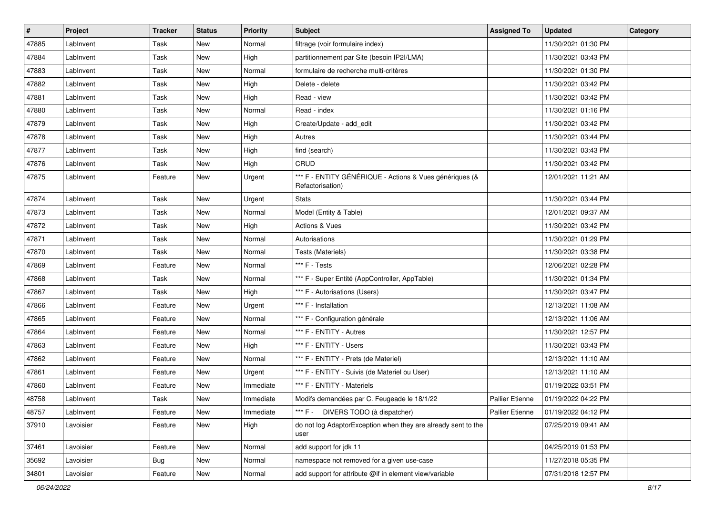| #     | Project   | <b>Tracker</b> | <b>Status</b> | <b>Priority</b> | <b>Subject</b>                                                              | <b>Assigned To</b> | <b>Updated</b>      | Category |
|-------|-----------|----------------|---------------|-----------------|-----------------------------------------------------------------------------|--------------------|---------------------|----------|
| 47885 | LabInvent | Task           | New           | Normal          | filtrage (voir formulaire index)                                            |                    | 11/30/2021 01:30 PM |          |
| 47884 | LabInvent | Task           | <b>New</b>    | High            | partitionnement par Site (besoin IP2I/LMA)                                  |                    | 11/30/2021 03:43 PM |          |
| 47883 | LabInvent | Task           | New           | Normal          | formulaire de recherche multi-critères                                      |                    | 11/30/2021 01:30 PM |          |
| 47882 | LabInvent | Task           | <b>New</b>    | High            | Delete - delete                                                             |                    | 11/30/2021 03:42 PM |          |
| 47881 | LabInvent | Task           | <b>New</b>    | High            | Read - view                                                                 |                    | 11/30/2021 03:42 PM |          |
| 47880 | LabInvent | Task           | New           | Normal          | Read - index                                                                |                    | 11/30/2021 01:16 PM |          |
| 47879 | LabInvent | Task           | <b>New</b>    | High            | Create/Update - add_edit                                                    |                    | 11/30/2021 03:42 PM |          |
| 47878 | LabInvent | Task           | New           | High            | Autres                                                                      |                    | 11/30/2021 03:44 PM |          |
| 47877 | LabInvent | Task           | <b>New</b>    | High            | find (search)                                                               |                    | 11/30/2021 03:43 PM |          |
| 47876 | LabInvent | Task           | <b>New</b>    | High            | CRUD                                                                        |                    | 11/30/2021 03:42 PM |          |
| 47875 | LabInvent | Feature        | <b>New</b>    | Urgent          | *** F - ENTITY GÉNÉRIQUE - Actions & Vues génériques (&<br>Refactorisation) |                    | 12/01/2021 11:21 AM |          |
| 47874 | LabInvent | Task           | New           | Urgent          | <b>Stats</b>                                                                |                    | 11/30/2021 03:44 PM |          |
| 47873 | LabInvent | Task           | <b>New</b>    | Normal          | Model (Entity & Table)                                                      |                    | 12/01/2021 09:37 AM |          |
| 47872 | LabInvent | Task           | <b>New</b>    | High            | <b>Actions &amp; Vues</b>                                                   |                    | 11/30/2021 03:42 PM |          |
| 47871 | LabInvent | Task           | New           | Normal          | Autorisations                                                               |                    | 11/30/2021 01:29 PM |          |
| 47870 | LabInvent | Task           | New           | Normal          | Tests (Materiels)                                                           |                    | 11/30/2021 03:38 PM |          |
| 47869 | LabInvent | Feature        | New           | Normal          | *** F - Tests                                                               |                    | 12/06/2021 02:28 PM |          |
| 47868 | LabInvent | Task           | <b>New</b>    | Normal          | *** F - Super Entité (AppController, AppTable)                              |                    | 11/30/2021 01:34 PM |          |
| 47867 | LabInvent | Task           | <b>New</b>    | High            | *** F - Autorisations (Users)                                               |                    | 11/30/2021 03:47 PM |          |
| 47866 | LabInvent | Feature        | New           | Urgent          | *** F - Installation                                                        |                    | 12/13/2021 11:08 AM |          |
| 47865 | LabInvent | Feature        | <b>New</b>    | Normal          | *** F - Configuration générale                                              |                    | 12/13/2021 11:06 AM |          |
| 47864 | LabInvent | Feature        | <b>New</b>    | Normal          | *** F - ENTITY - Autres                                                     |                    | 11/30/2021 12:57 PM |          |
| 47863 | LabInvent | Feature        | New           | High            | *** F - ENTITY - Users                                                      |                    | 11/30/2021 03:43 PM |          |
| 47862 | LabInvent | Feature        | New           | Normal          | *** F - ENTITY - Prets (de Materiel)                                        |                    | 12/13/2021 11:10 AM |          |
| 47861 | LabInvent | Feature        | New           | Urgent          | *** F - ENTITY - Suivis (de Materiel ou User)                               |                    | 12/13/2021 11:10 AM |          |
| 47860 | LabInvent | Feature        | <b>New</b>    | Immediate       | *** F - ENTITY - Materiels                                                  |                    | 01/19/2022 03:51 PM |          |
| 48758 | LabInvent | Task           | <b>New</b>    | Immediate       | Modifs demandées par C. Feugeade le 18/1/22                                 | Pallier Etienne    | 01/19/2022 04:22 PM |          |
| 48757 | LabInvent | Feature        | New           | Immediate       | *** F - DIVERS TODO (à dispatcher)                                          | Pallier Etienne    | 01/19/2022 04:12 PM |          |
| 37910 | Lavoisier | Feature        | New           | High            | do not log AdaptorException when they are already sent to the<br>user       |                    | 07/25/2019 09:41 AM |          |
| 37461 | Lavoisier | Feature        | New           | Normal          | add support for jdk 11                                                      |                    | 04/25/2019 01:53 PM |          |
| 35692 | Lavoisier | <b>Bug</b>     | New           | Normal          | namespace not removed for a given use-case                                  |                    | 11/27/2018 05:35 PM |          |
| 34801 | Lavoisier | Feature        | New           | Normal          | add support for attribute @if in element view/variable                      |                    | 07/31/2018 12:57 PM |          |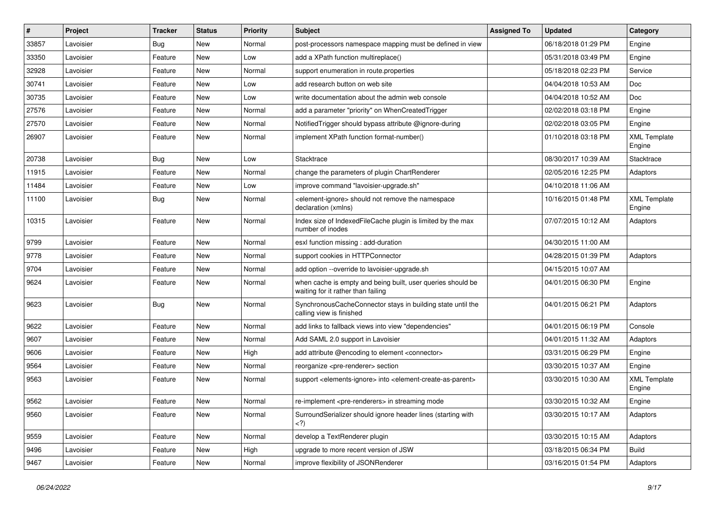| #     | Project   | <b>Tracker</b> | <b>Status</b> | <b>Priority</b> | Subject                                                                                                | <b>Assigned To</b> | <b>Updated</b>      | Category                      |
|-------|-----------|----------------|---------------|-----------------|--------------------------------------------------------------------------------------------------------|--------------------|---------------------|-------------------------------|
| 33857 | Lavoisier | <b>Bug</b>     | <b>New</b>    | Normal          | post-processors namespace mapping must be defined in view                                              |                    | 06/18/2018 01:29 PM | Engine                        |
| 33350 | Lavoisier | Feature        | <b>New</b>    | Low             | add a XPath function multireplace()                                                                    |                    | 05/31/2018 03:49 PM | Engine                        |
| 32928 | Lavoisier | Feature        | <b>New</b>    | Normal          | support enumeration in route properties                                                                |                    | 05/18/2018 02:23 PM | Service                       |
| 30741 | Lavoisier | Feature        | <b>New</b>    | Low             | add research button on web site                                                                        |                    | 04/04/2018 10:53 AM | Doc                           |
| 30735 | Lavoisier | Feature        | <b>New</b>    | Low             | write documentation about the admin web console                                                        |                    | 04/04/2018 10:52 AM | Doc                           |
| 27576 | Lavoisier | Feature        | <b>New</b>    | Normal          | add a parameter "priority" on WhenCreatedTrigger                                                       |                    | 02/02/2018 03:18 PM | Engine                        |
| 27570 | Lavoisier | Feature        | <b>New</b>    | Normal          | NotifiedTrigger should bypass attribute @ignore-during                                                 |                    | 02/02/2018 03:05 PM | Engine                        |
| 26907 | Lavoisier | Feature        | <b>New</b>    | Normal          | implement XPath function format-number()                                                               |                    | 01/10/2018 03:18 PM | <b>XML Template</b><br>Engine |
| 20738 | Lavoisier | <b>Bug</b>     | New           | Low             | Stacktrace                                                                                             |                    | 08/30/2017 10:39 AM | Stacktrace                    |
| 11915 | Lavoisier | Feature        | <b>New</b>    | Normal          | change the parameters of plugin ChartRenderer                                                          |                    | 02/05/2016 12:25 PM | Adaptors                      |
| 11484 | Lavoisier | Feature        | <b>New</b>    | Low             | improve command "lavoisier-upgrade.sh"                                                                 |                    | 04/10/2018 11:06 AM |                               |
| 11100 | Lavoisier | <b>Bug</b>     | New           | Normal          | <element-ignore> should not remove the namespace<br/>declaration (xmlns)</element-ignore>              |                    | 10/16/2015 01:48 PM | <b>XML Template</b><br>Engine |
| 10315 | Lavoisier | Feature        | <b>New</b>    | Normal          | Index size of IndexedFileCache plugin is limited by the max<br>number of inodes                        |                    | 07/07/2015 10:12 AM | Adaptors                      |
| 9799  | Lavoisier | Feature        | New           | Normal          | esxl function missing : add-duration                                                                   |                    | 04/30/2015 11:00 AM |                               |
| 9778  | Lavoisier | Feature        | <b>New</b>    | Normal          | support cookies in HTTPConnector                                                                       |                    | 04/28/2015 01:39 PM | Adaptors                      |
| 9704  | Lavoisier | Feature        | <b>New</b>    | Normal          | add option --override to lavoisier-upgrade.sh                                                          |                    | 04/15/2015 10:07 AM |                               |
| 9624  | Lavoisier | Feature        | <b>New</b>    | Normal          | when cache is empty and being built, user queries should be<br>waiting for it rather than failing      |                    | 04/01/2015 06:30 PM | Engine                        |
| 9623  | Lavoisier | <b>Bug</b>     | <b>New</b>    | Normal          | SynchronousCacheConnector stays in building state until the<br>calling view is finished                |                    | 04/01/2015 06:21 PM | Adaptors                      |
| 9622  | Lavoisier | Feature        | <b>New</b>    | Normal          | add links to fallback views into view "dependencies"                                                   |                    | 04/01/2015 06:19 PM | Console                       |
| 9607  | Lavoisier | Feature        | <b>New</b>    | Normal          | Add SAML 2.0 support in Lavoisier                                                                      |                    | 04/01/2015 11:32 AM | Adaptors                      |
| 9606  | Lavoisier | Feature        | <b>New</b>    | High            | add attribute @encoding to element <connector></connector>                                             |                    | 03/31/2015 06:29 PM | Engine                        |
| 9564  | Lavoisier | Feature        | New           | Normal          | reorganize <pre-renderer> section</pre-renderer>                                                       |                    | 03/30/2015 10:37 AM | Engine                        |
| 9563  | Lavoisier | Feature        | <b>New</b>    | Normal          | support <elements-ignore> into <element-create-as-parent></element-create-as-parent></elements-ignore> |                    | 03/30/2015 10:30 AM | <b>XML Template</b><br>Engine |
| 9562  | Lavoisier | Feature        | <b>New</b>    | Normal          | re-implement <pre-renderers> in streaming mode</pre-renderers>                                         |                    | 03/30/2015 10:32 AM | Engine                        |
| 9560  | Lavoisier | Feature        | New           | Normal          | SurroundSerializer should ignore header lines (starting with<br>$\langle$ ?)                           |                    | 03/30/2015 10:17 AM | Adaptors                      |
| 9559  | Lavoisier | Feature        | New           | Normal          | develop a TextRenderer plugin                                                                          |                    | 03/30/2015 10:15 AM | Adaptors                      |
| 9496  | Lavoisier | Feature        | New           | High            | upgrade to more recent version of JSW                                                                  |                    | 03/18/2015 06:34 PM | <b>Build</b>                  |
| 9467  | Lavoisier | Feature        | New           | Normal          | improve flexibility of JSONRenderer                                                                    |                    | 03/16/2015 01:54 PM | Adaptors                      |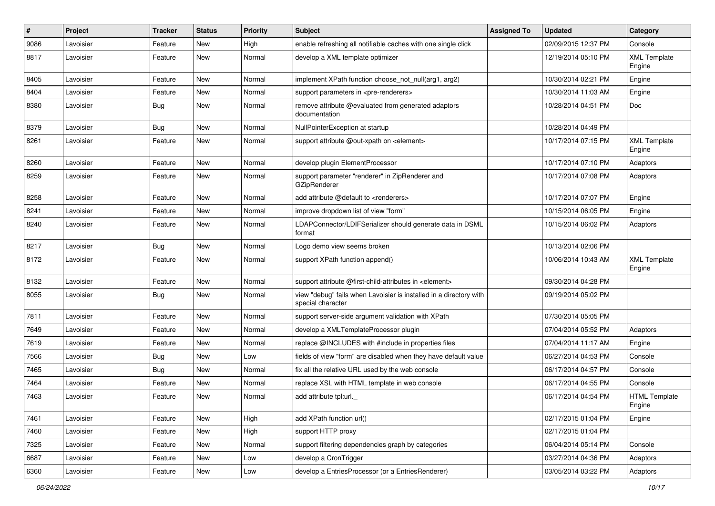| $\sharp$ | Project   | <b>Tracker</b> | <b>Status</b> | <b>Priority</b> | Subject                                                                                 | <b>Assigned To</b> | <b>Updated</b>      | Category                       |
|----------|-----------|----------------|---------------|-----------------|-----------------------------------------------------------------------------------------|--------------------|---------------------|--------------------------------|
| 9086     | Lavoisier | Feature        | New           | High            | enable refreshing all notifiable caches with one single click                           |                    | 02/09/2015 12:37 PM | Console                        |
| 8817     | Lavoisier | Feature        | New           | Normal          | develop a XML template optimizer                                                        |                    | 12/19/2014 05:10 PM | <b>XML Template</b><br>Engine  |
| 8405     | Lavoisier | Feature        | <b>New</b>    | Normal          | implement XPath function choose_not_null(arg1, arg2)                                    |                    | 10/30/2014 02:21 PM | Engine                         |
| 8404     | Lavoisier | Feature        | <b>New</b>    | Normal          | support parameters in <pre-renderers></pre-renderers>                                   |                    | 10/30/2014 11:03 AM | Engine                         |
| 8380     | Lavoisier | <b>Bug</b>     | New           | Normal          | remove attribute @evaluated from generated adaptors<br>documentation                    |                    | 10/28/2014 04:51 PM | Doc                            |
| 8379     | Lavoisier | <b>Bug</b>     | New           | Normal          | NullPointerException at startup                                                         |                    | 10/28/2014 04:49 PM |                                |
| 8261     | Lavoisier | Feature        | <b>New</b>    | Normal          | support attribute @out-xpath on <element></element>                                     |                    | 10/17/2014 07:15 PM | <b>XML Template</b><br>Engine  |
| 8260     | Lavoisier | Feature        | <b>New</b>    | Normal          | develop plugin ElementProcessor                                                         |                    | 10/17/2014 07:10 PM | Adaptors                       |
| 8259     | Lavoisier | Feature        | New           | Normal          | support parameter "renderer" in ZipRenderer and<br>GZipRenderer                         |                    | 10/17/2014 07:08 PM | Adaptors                       |
| 8258     | Lavoisier | Feature        | <b>New</b>    | Normal          | add attribute @default to <renderers></renderers>                                       |                    | 10/17/2014 07:07 PM | Engine                         |
| 8241     | Lavoisier | Feature        | <b>New</b>    | Normal          | improve dropdown list of view "form"                                                    |                    | 10/15/2014 06:05 PM | Engine                         |
| 8240     | Lavoisier | Feature        | New           | Normal          | LDAPConnector/LDIFSerializer should generate data in DSML<br>format                     |                    | 10/15/2014 06:02 PM | Adaptors                       |
| 8217     | Lavoisier | <b>Bug</b>     | New           | Normal          | Logo demo view seems broken                                                             |                    | 10/13/2014 02:06 PM |                                |
| 8172     | Lavoisier | Feature        | New           | Normal          | support XPath function append()                                                         |                    | 10/06/2014 10:43 AM | <b>XML Template</b><br>Engine  |
| 8132     | Lavoisier | Feature        | New           | Normal          | support attribute @first-child-attributes in <element></element>                        |                    | 09/30/2014 04:28 PM |                                |
| 8055     | Lavoisier | <b>Bug</b>     | New           | Normal          | view "debug" fails when Lavoisier is installed in a directory with<br>special character |                    | 09/19/2014 05:02 PM |                                |
| 7811     | Lavoisier | Feature        | New           | Normal          | support server-side argument validation with XPath                                      |                    | 07/30/2014 05:05 PM |                                |
| 7649     | Lavoisier | Feature        | <b>New</b>    | Normal          | develop a XMLTemplateProcessor plugin                                                   |                    | 07/04/2014 05:52 PM | Adaptors                       |
| 7619     | Lavoisier | Feature        | <b>New</b>    | Normal          | replace @INCLUDES with #include in properties files                                     |                    | 07/04/2014 11:17 AM | Engine                         |
| 7566     | Lavoisier | <b>Bug</b>     | New           | Low             | fields of view "form" are disabled when they have default value                         |                    | 06/27/2014 04:53 PM | Console                        |
| 7465     | Lavoisier | <b>Bug</b>     | <b>New</b>    | Normal          | fix all the relative URL used by the web console                                        |                    | 06/17/2014 04:57 PM | Console                        |
| 7464     | Lavoisier | Feature        | <b>New</b>    | Normal          | replace XSL with HTML template in web console                                           |                    | 06/17/2014 04:55 PM | Console                        |
| 7463     | Lavoisier | Feature        | <b>New</b>    | Normal          | add attribute tpl:url._                                                                 |                    | 06/17/2014 04:54 PM | <b>HTML Template</b><br>Engine |
| 7461     | Lavoisier | Feature        | New           | High            | add XPath function url()                                                                |                    | 02/17/2015 01:04 PM | Engine                         |
| 7460     | Lavoisier | Feature        | New           | High            | support HTTP proxy                                                                      |                    | 02/17/2015 01:04 PM |                                |
| 7325     | Lavoisier | Feature        | New           | Normal          | support filtering dependencies graph by categories                                      |                    | 06/04/2014 05:14 PM | Console                        |
| 6687     | Lavoisier | Feature        | New           | Low             | develop a CronTrigger                                                                   |                    | 03/27/2014 04:36 PM | Adaptors                       |
| 6360     | Lavoisier | Feature        | New           | Low             | develop a EntriesProcessor (or a EntriesRenderer)                                       |                    | 03/05/2014 03:22 PM | Adaptors                       |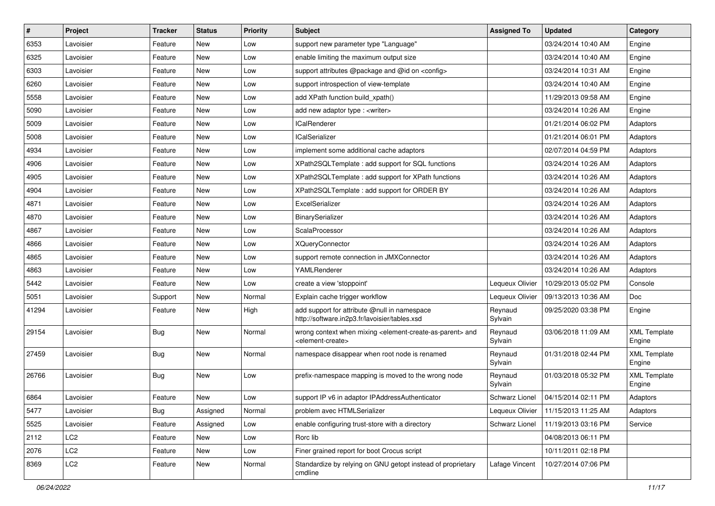| $\sharp$ | Project         | <b>Tracker</b> | <b>Status</b> | <b>Priority</b> | Subject                                                                                                                   | <b>Assigned To</b> | <b>Updated</b>      | Category                      |
|----------|-----------------|----------------|---------------|-----------------|---------------------------------------------------------------------------------------------------------------------------|--------------------|---------------------|-------------------------------|
| 6353     | Lavoisier       | Feature        | <b>New</b>    | Low             | support new parameter type "Language"                                                                                     |                    | 03/24/2014 10:40 AM | Engine                        |
| 6325     | Lavoisier       | Feature        | <b>New</b>    | Low             | enable limiting the maximum output size                                                                                   |                    | 03/24/2014 10:40 AM | Engine                        |
| 6303     | Lavoisier       | Feature        | <b>New</b>    | Low             | support attributes @package and @id on <config></config>                                                                  |                    | 03/24/2014 10:31 AM | Engine                        |
| 6260     | Lavoisier       | Feature        | <b>New</b>    | Low             | support introspection of view-template                                                                                    |                    | 03/24/2014 10:40 AM | Engine                        |
| 5558     | Lavoisier       | Feature        | <b>New</b>    | Low             | add XPath function build_xpath()                                                                                          |                    | 11/29/2013 09:58 AM | Engine                        |
| 5090     | Lavoisier       | Feature        | <b>New</b>    | Low             | add new adaptor type : <writer></writer>                                                                                  |                    | 03/24/2014 10:26 AM | Engine                        |
| 5009     | Lavoisier       | Feature        | <b>New</b>    | Low             | <b>ICalRenderer</b>                                                                                                       |                    | 01/21/2014 06:02 PM | Adaptors                      |
| 5008     | Lavoisier       | Feature        | New           | Low             | <b>ICalSerializer</b>                                                                                                     |                    | 01/21/2014 06:01 PM | Adaptors                      |
| 4934     | Lavoisier       | Feature        | <b>New</b>    | Low             | implement some additional cache adaptors                                                                                  |                    | 02/07/2014 04:59 PM | Adaptors                      |
| 4906     | Lavoisier       | Feature        | <b>New</b>    | Low             | XPath2SQLTemplate : add support for SQL functions                                                                         |                    | 03/24/2014 10:26 AM | Adaptors                      |
| 4905     | Lavoisier       | Feature        | New           | Low             | XPath2SQLTemplate : add support for XPath functions                                                                       |                    | 03/24/2014 10:26 AM | Adaptors                      |
| 4904     | Lavoisier       | Feature        | <b>New</b>    | Low             | XPath2SQLTemplate : add support for ORDER BY                                                                              |                    | 03/24/2014 10:26 AM | Adaptors                      |
| 4871     | Lavoisier       | Feature        | <b>New</b>    | Low             | ExcelSerializer                                                                                                           |                    | 03/24/2014 10:26 AM | Adaptors                      |
| 4870     | Lavoisier       | Feature        | <b>New</b>    | Low             | BinarySerializer                                                                                                          |                    | 03/24/2014 10:26 AM | Adaptors                      |
| 4867     | Lavoisier       | Feature        | <b>New</b>    | Low             | ScalaProcessor                                                                                                            |                    | 03/24/2014 10:26 AM | Adaptors                      |
| 4866     | Lavoisier       | Feature        | New           | Low             | <b>XQueryConnector</b>                                                                                                    |                    | 03/24/2014 10:26 AM | Adaptors                      |
| 4865     | Lavoisier       | Feature        | <b>New</b>    | Low             | support remote connection in JMXConnector                                                                                 |                    | 03/24/2014 10:26 AM | Adaptors                      |
| 4863     | Lavoisier       | Feature        | <b>New</b>    | Low             | YAMLRenderer                                                                                                              |                    | 03/24/2014 10:26 AM | Adaptors                      |
| 5442     | Lavoisier       | Feature        | <b>New</b>    | Low             | create a view 'stoppoint'                                                                                                 | Lequeux Olivier    | 10/29/2013 05:02 PM | Console                       |
| 5051     | Lavoisier       | Support        | <b>New</b>    | Normal          | Explain cache trigger workflow                                                                                            | Lequeux Olivier    | 09/13/2013 10:36 AM | Doc                           |
| 41294    | Lavoisier       | Feature        | <b>New</b>    | High            | add support for attribute @null in namespace<br>http://software.in2p3.fr/lavoisier/tables.xsd                             | Reynaud<br>Sylvain | 09/25/2020 03:38 PM | Engine                        |
| 29154    | Lavoisier       | <b>Bug</b>     | New           | Normal          | wrong context when mixing <element-create-as-parent> and<br/><element-create></element-create></element-create-as-parent> | Reynaud<br>Sylvain | 03/06/2018 11:09 AM | <b>XML Template</b><br>Engine |
| 27459    | Lavoisier       | <b>Bug</b>     | <b>New</b>    | Normal          | namespace disappear when root node is renamed                                                                             | Reynaud<br>Sylvain | 01/31/2018 02:44 PM | <b>XML Template</b><br>Engine |
| 26766    | Lavoisier       | <b>Bug</b>     | <b>New</b>    | Low             | prefix-namespace mapping is moved to the wrong node                                                                       | Reynaud<br>Sylvain | 01/03/2018 05:32 PM | <b>XML Template</b><br>Engine |
| 6864     | Lavoisier       | Feature        | New           | Low             | support IP v6 in adaptor IPAddressAuthenticator                                                                           | Schwarz Lionel     | 04/15/2014 02:11 PM | Adaptors                      |
| 5477     | Lavoisier       | <b>Bug</b>     | Assigned      | Normal          | problem avec HTMLSerializer                                                                                               | Lequeux Olivier    | 11/15/2013 11:25 AM | Adaptors                      |
| 5525     | Lavoisier       | Feature        | Assigned      | Low             | enable configuring trust-store with a directory                                                                           | Schwarz Lionel     | 11/19/2013 03:16 PM | Service                       |
| 2112     | LC <sub>2</sub> | Feature        | New           | Low             | Rorc lib                                                                                                                  |                    | 04/08/2013 06:11 PM |                               |
| 2076     | LC <sub>2</sub> | Feature        | New           | Low             | Finer grained report for boot Crocus script                                                                               |                    | 10/11/2011 02:18 PM |                               |
| 8369     | LC <sub>2</sub> | Feature        | New           | Normal          | Standardize by relying on GNU getopt instead of proprietary<br>cmdline                                                    | Lafage Vincent     | 10/27/2014 07:06 PM |                               |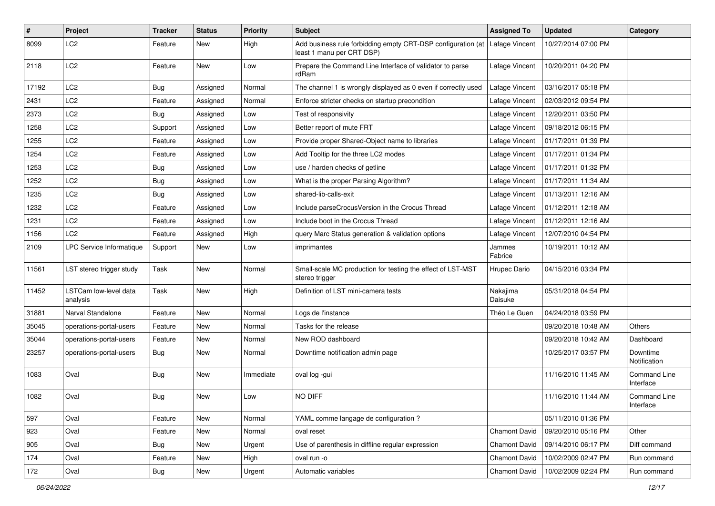| #     | Project                           | <b>Tracker</b> | <b>Status</b> | <b>Priority</b> | <b>Subject</b>                                                                              | <b>Assigned To</b>   | <b>Updated</b>      | Category                  |
|-------|-----------------------------------|----------------|---------------|-----------------|---------------------------------------------------------------------------------------------|----------------------|---------------------|---------------------------|
| 8099  | LC <sub>2</sub>                   | Feature        | <b>New</b>    | High            | Add business rule forbidding empty CRT-DSP configuration (at  <br>least 1 manu per CRT DSP) | Lafage Vincent       | 10/27/2014 07:00 PM |                           |
| 2118  | LC <sub>2</sub>                   | Feature        | <b>New</b>    | Low             | Prepare the Command Line Interface of validator to parse<br>rdRam                           | Lafage Vincent       | 10/20/2011 04:20 PM |                           |
| 17192 | LC <sub>2</sub>                   | Bug            | Assigned      | Normal          | The channel 1 is wrongly displayed as 0 even if correctly used                              | Lafage Vincent       | 03/16/2017 05:18 PM |                           |
| 2431  | LC <sub>2</sub>                   | Feature        | Assigned      | Normal          | Enforce stricter checks on startup precondition                                             | Lafage Vincent       | 02/03/2012 09:54 PM |                           |
| 2373  | LC <sub>2</sub>                   | <b>Bug</b>     | Assigned      | Low             | Test of responsivity                                                                        | Lafage Vincent       | 12/20/2011 03:50 PM |                           |
| 1258  | LC <sub>2</sub>                   | Support        | Assigned      | Low             | Better report of mute FRT                                                                   | Lafage Vincent       | 09/18/2012 06:15 PM |                           |
| 1255  | LC <sub>2</sub>                   | Feature        | Assigned      | Low             | Provide proper Shared-Object name to libraries                                              | Lafage Vincent       | 01/17/2011 01:39 PM |                           |
| 1254  | LC <sub>2</sub>                   | Feature        | Assigned      | Low             | Add Tooltip for the three LC2 modes                                                         | Lafage Vincent       | 01/17/2011 01:34 PM |                           |
| 1253  | LC <sub>2</sub>                   | <b>Bug</b>     | Assigned      | Low             | use / harden checks of getline                                                              | Lafage Vincent       | 01/17/2011 01:32 PM |                           |
| 1252  | LC <sub>2</sub>                   | Bug            | Assigned      | Low             | What is the proper Parsing Algorithm?                                                       | Lafage Vincent       | 01/17/2011 11:34 AM |                           |
| 1235  | LC <sub>2</sub>                   | <b>Bug</b>     | Assigned      | Low             | shared-lib-calls-exit                                                                       | Lafage Vincent       | 01/13/2011 12:16 AM |                           |
| 1232  | LC <sub>2</sub>                   | Feature        | Assigned      | Low             | Include parseCrocusVersion in the Crocus Thread                                             | Lafage Vincent       | 01/12/2011 12:18 AM |                           |
| 1231  | LC <sub>2</sub>                   | Feature        | Assigned      | Low             | Include boot in the Crocus Thread                                                           | Lafage Vincent       | 01/12/2011 12:16 AM |                           |
| 1156  | LC <sub>2</sub>                   | Feature        | Assigned      | High            | query Marc Status generation & validation options                                           | Lafage Vincent       | 12/07/2010 04:54 PM |                           |
| 2109  | LPC Service Informatique          | Support        | New           | Low             | imprimantes                                                                                 | Jammes<br>Fabrice    | 10/19/2011 10:12 AM |                           |
| 11561 | LST stereo trigger study          | Task           | <b>New</b>    | Normal          | Small-scale MC production for testing the effect of LST-MST<br>stereo trigger               | Hrupec Dario         | 04/15/2016 03:34 PM |                           |
| 11452 | LSTCam low-level data<br>analysis | Task           | <b>New</b>    | High            | Definition of LST mini-camera tests                                                         | Nakajima<br>Daisuke  | 05/31/2018 04:54 PM |                           |
| 31881 | Narval Standalone                 | Feature        | <b>New</b>    | Normal          | Logs de l'instance                                                                          | Théo Le Guen         | 04/24/2018 03:59 PM |                           |
| 35045 | operations-portal-users           | Feature        | New           | Normal          | Tasks for the release                                                                       |                      | 09/20/2018 10:48 AM | Others                    |
| 35044 | operations-portal-users           | Feature        | <b>New</b>    | Normal          | New ROD dashboard                                                                           |                      | 09/20/2018 10:42 AM | Dashboard                 |
| 23257 | operations-portal-users           | Bug            | New           | Normal          | Downtime notification admin page                                                            |                      | 10/25/2017 03:57 PM | Downtime<br>Notification  |
| 1083  | Oval                              | <b>Bug</b>     | <b>New</b>    | Immediate       | oval log -gui                                                                               |                      | 11/16/2010 11:45 AM | Command Line<br>Interface |
| 1082  | Oval                              | <b>Bug</b>     | <b>New</b>    | Low             | NO DIFF                                                                                     |                      | 11/16/2010 11:44 AM | Command Line<br>Interface |
| 597   | Oval                              | Feature        | New           | Normal          | YAML comme langage de configuration?                                                        |                      | 05/11/2010 01:36 PM |                           |
| 923   | Oval                              | Feature        | <b>New</b>    | Normal          | oval reset                                                                                  | Chamont David        | 09/20/2010 05:16 PM | Other                     |
| 905   | Oval                              | Bug            | New           | Urgent          | Use of parenthesis in diffline regular expression                                           | <b>Chamont David</b> | 09/14/2010 06:17 PM | Diff command              |
| 174   | Oval                              | Feature        | New           | High            | oval run -o                                                                                 | Chamont David        | 10/02/2009 02:47 PM | Run command               |
| 172   | Oval                              | <b>Bug</b>     | New           | Urgent          | Automatic variables                                                                         | Chamont David        | 10/02/2009 02:24 PM | Run command               |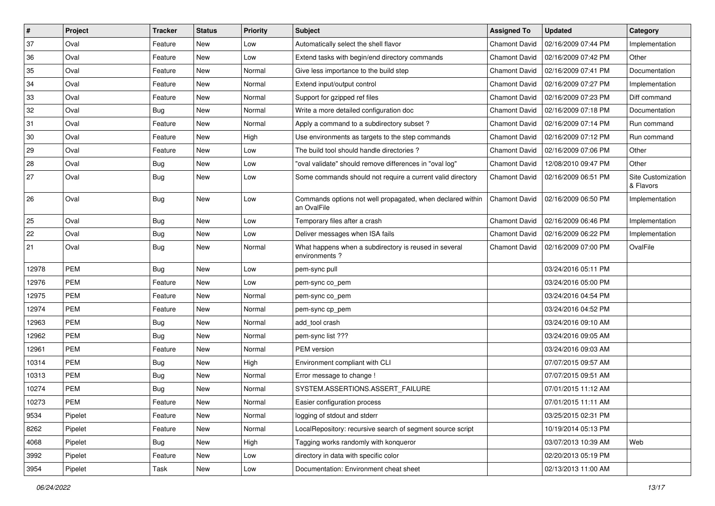| $\vert$ # | Project    | <b>Tracker</b> | <b>Status</b> | <b>Priority</b> | <b>Subject</b>                                                            | <b>Assigned To</b>   | <b>Updated</b>      | Category                        |
|-----------|------------|----------------|---------------|-----------------|---------------------------------------------------------------------------|----------------------|---------------------|---------------------------------|
| 37        | Oval       | Feature        | New           | Low             | Automatically select the shell flavor                                     | <b>Chamont David</b> | 02/16/2009 07:44 PM | Implementation                  |
| 36        | Oval       | Feature        | <b>New</b>    | Low             | Extend tasks with begin/end directory commands                            | <b>Chamont David</b> | 02/16/2009 07:42 PM | Other                           |
| 35        | Oval       | Feature        | New           | Normal          | Give less importance to the build step                                    | <b>Chamont David</b> | 02/16/2009 07:41 PM | Documentation                   |
| 34        | Oval       | Feature        | New           | Normal          | Extend input/output control                                               | <b>Chamont David</b> | 02/16/2009 07:27 PM | Implementation                  |
| 33        | Oval       | Feature        | <b>New</b>    | Normal          | Support for gzipped ref files                                             | <b>Chamont David</b> | 02/16/2009 07:23 PM | Diff command                    |
| 32        | Oval       | <b>Bug</b>     | New           | Normal          | Write a more detailed configuration doc                                   | Chamont David        | 02/16/2009 07:18 PM | Documentation                   |
| 31        | Oval       | Feature        | <b>New</b>    | Normal          | Apply a command to a subdirectory subset?                                 | <b>Chamont David</b> | 02/16/2009 07:14 PM | Run command                     |
| 30        | Oval       | Feature        | New           | High            | Use environments as targets to the step commands                          | Chamont David        | 02/16/2009 07:12 PM | Run command                     |
| 29        | Oval       | Feature        | New           | Low             | The build tool should handle directories?                                 | <b>Chamont David</b> | 02/16/2009 07:06 PM | Other                           |
| 28        | Oval       | <b>Bug</b>     | <b>New</b>    | Low             | "oval validate" should remove differences in "oval log"                   | <b>Chamont David</b> | 12/08/2010 09:47 PM | Other                           |
| 27        | Oval       | <b>Bug</b>     | New           | Low             | Some commands should not require a current valid directory                | <b>Chamont David</b> | 02/16/2009 06:51 PM | Site Customization<br>& Flavors |
| 26        | Oval       | <b>Bug</b>     | <b>New</b>    | Low             | Commands options not well propagated, when declared within<br>an OvalFile | <b>Chamont David</b> | 02/16/2009 06:50 PM | Implementation                  |
| 25        | Oval       | <b>Bug</b>     | <b>New</b>    | Low             | Temporary files after a crash                                             | <b>Chamont David</b> | 02/16/2009 06:46 PM | Implementation                  |
| 22        | Oval       | <b>Bug</b>     | New           | Low             | Deliver messages when ISA fails                                           | <b>Chamont David</b> | 02/16/2009 06:22 PM | Implementation                  |
| 21        | Oval       | <b>Bug</b>     | New           | Normal          | What happens when a subdirectory is reused in several<br>environments?    | <b>Chamont David</b> | 02/16/2009 07:00 PM | OvalFile                        |
| 12978     | <b>PEM</b> | <b>Bug</b>     | <b>New</b>    | Low             | pem-sync pull                                                             |                      | 03/24/2016 05:11 PM |                                 |
| 12976     | <b>PEM</b> | Feature        | New           | Low             | pem-sync co_pem                                                           |                      | 03/24/2016 05:00 PM |                                 |
| 12975     | <b>PEM</b> | Feature        | <b>New</b>    | Normal          | pem-sync co_pem                                                           |                      | 03/24/2016 04:54 PM |                                 |
| 12974     | <b>PEM</b> | Feature        | New           | Normal          | pem-sync cp_pem                                                           |                      | 03/24/2016 04:52 PM |                                 |
| 12963     | <b>PEM</b> | <b>Bug</b>     | <b>New</b>    | Normal          | add tool crash                                                            |                      | 03/24/2016 09:10 AM |                                 |
| 12962     | <b>PEM</b> | <b>Bug</b>     | New           | Normal          | pem-sync list ???                                                         |                      | 03/24/2016 09:05 AM |                                 |
| 12961     | <b>PEM</b> | Feature        | New           | Normal          | PEM version                                                               |                      | 03/24/2016 09:03 AM |                                 |
| 10314     | <b>PEM</b> | <b>Bug</b>     | <b>New</b>    | High            | Environment compliant with CLI                                            |                      | 07/07/2015 09:57 AM |                                 |
| 10313     | <b>PEM</b> | <b>Bug</b>     | New           | Normal          | Error message to change !                                                 |                      | 07/07/2015 09:51 AM |                                 |
| 10274     | <b>PEM</b> | <b>Bug</b>     | New           | Normal          | SYSTEM.ASSERTIONS.ASSERT_FAILURE                                          |                      | 07/01/2015 11:12 AM |                                 |
| 10273     | PEM        | Feature        | New           | Normal          | Easier configuration process                                              |                      | 07/01/2015 11:11 AM |                                 |
| 9534      | Pipelet    | Feature        | New           | Normal          | logging of stdout and stderr                                              |                      | 03/25/2015 02:31 PM |                                 |
| 8262      | Pipelet    | Feature        | New           | Normal          | LocalRepository: recursive search of segment source script                |                      | 10/19/2014 05:13 PM |                                 |
| 4068      | Pipelet    | <b>Bug</b>     | New           | High            | Tagging works randomly with konqueror                                     |                      | 03/07/2013 10:39 AM | Web                             |
| 3992      | Pipelet    | Feature        | New           | Low             | directory in data with specific color                                     |                      | 02/20/2013 05:19 PM |                                 |
| 3954      | Pipelet    | Task           | New           | Low             | Documentation: Environment cheat sheet                                    |                      | 02/13/2013 11:00 AM |                                 |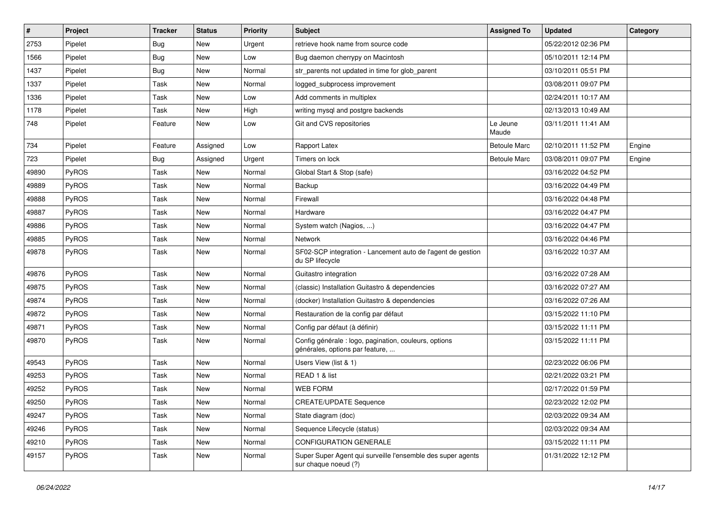| $\vert$ # | Project      | <b>Tracker</b> | <b>Status</b> | <b>Priority</b> | Subject                                                                                  | <b>Assigned To</b>  | <b>Updated</b>      | Category |
|-----------|--------------|----------------|---------------|-----------------|------------------------------------------------------------------------------------------|---------------------|---------------------|----------|
| 2753      | Pipelet      | <b>Bug</b>     | <b>New</b>    | Urgent          | retrieve hook name from source code                                                      |                     | 05/22/2012 02:36 PM |          |
| 1566      | Pipelet      | Bug            | <b>New</b>    | Low             | Bug daemon cherrypy on Macintosh                                                         |                     | 05/10/2011 12:14 PM |          |
| 1437      | Pipelet      | Bug            | <b>New</b>    | Normal          | str_parents not updated in time for glob_parent                                          |                     | 03/10/2011 05:51 PM |          |
| 1337      | Pipelet      | Task           | <b>New</b>    | Normal          | logged_subprocess improvement                                                            |                     | 03/08/2011 09:07 PM |          |
| 1336      | Pipelet      | Task           | <b>New</b>    | Low             | Add comments in multiplex                                                                |                     | 02/24/2011 10:17 AM |          |
| 1178      | Pipelet      | Task           | <b>New</b>    | High            | writing mysql and postgre backends                                                       |                     | 02/13/2013 10:49 AM |          |
| 748       | Pipelet      | Feature        | <b>New</b>    | Low             | Git and CVS repositories                                                                 | Le Jeune<br>Maude   | 03/11/2011 11:41 AM |          |
| 734       | Pipelet      | Feature        | Assigned      | Low             | Rapport Latex                                                                            | <b>Betoule Marc</b> | 02/10/2011 11:52 PM | Engine   |
| 723       | Pipelet      | Bug            | Assigned      | Urgent          | Timers on lock                                                                           | <b>Betoule Marc</b> | 03/08/2011 09:07 PM | Engine   |
| 49890     | PyROS        | Task           | <b>New</b>    | Normal          | Global Start & Stop (safe)                                                               |                     | 03/16/2022 04:52 PM |          |
| 49889     | PyROS        | Task           | <b>New</b>    | Normal          | Backup                                                                                   |                     | 03/16/2022 04:49 PM |          |
| 49888     | PyROS        | Task           | <b>New</b>    | Normal          | Firewall                                                                                 |                     | 03/16/2022 04:48 PM |          |
| 49887     | PyROS        | Task           | <b>New</b>    | Normal          | Hardware                                                                                 |                     | 03/16/2022 04:47 PM |          |
| 49886     | PyROS        | Task           | <b>New</b>    | Normal          | System watch (Nagios, )                                                                  |                     | 03/16/2022 04:47 PM |          |
| 49885     | PyROS        | Task           | <b>New</b>    | Normal          | <b>Network</b>                                                                           |                     | 03/16/2022 04:46 PM |          |
| 49878     | PyROS        | Task           | <b>New</b>    | Normal          | SF02-SCP integration - Lancement auto de l'agent de gestion<br>du SP lifecycle           |                     | 03/16/2022 10:37 AM |          |
| 49876     | PyROS        | Task           | <b>New</b>    | Normal          | Guitastro integration                                                                    |                     | 03/16/2022 07:28 AM |          |
| 49875     | PyROS        | Task           | <b>New</b>    | Normal          | (classic) Installation Guitastro & dependencies                                          |                     | 03/16/2022 07:27 AM |          |
| 49874     | PyROS        | Task           | <b>New</b>    | Normal          | (docker) Installation Guitastro & dependencies                                           |                     | 03/16/2022 07:26 AM |          |
| 49872     | PyROS        | Task           | <b>New</b>    | Normal          | Restauration de la config par défaut                                                     |                     | 03/15/2022 11:10 PM |          |
| 49871     | PyROS        | Task           | <b>New</b>    | Normal          | Config par défaut (à définir)                                                            |                     | 03/15/2022 11:11 PM |          |
| 49870     | <b>PyROS</b> | Task           | <b>New</b>    | Normal          | Config générale : logo, pagination, couleurs, options<br>générales, options par feature, |                     | 03/15/2022 11:11 PM |          |
| 49543     | PyROS        | Task           | <b>New</b>    | Normal          | Users View (list & 1)                                                                    |                     | 02/23/2022 06:06 PM |          |
| 49253     | PyROS        | Task           | <b>New</b>    | Normal          | READ 1 & list                                                                            |                     | 02/21/2022 03:21 PM |          |
| 49252     | PyROS        | Task           | <b>New</b>    | Normal          | <b>WEB FORM</b>                                                                          |                     | 02/17/2022 01:59 PM |          |
| 49250     | PyROS        | Task           | New           | Normal          | <b>CREATE/UPDATE Sequence</b>                                                            |                     | 02/23/2022 12:02 PM |          |
| 49247     | PyROS        | Task           | New           | Normal          | State diagram (doc)                                                                      |                     | 02/03/2022 09:34 AM |          |
| 49246     | PyROS        | Task           | New           | Normal          | Sequence Lifecycle (status)                                                              |                     | 02/03/2022 09:34 AM |          |
| 49210     | PyROS        | Task           | New           | Normal          | CONFIGURATION GENERALE                                                                   |                     | 03/15/2022 11:11 PM |          |
| 49157     | PyROS        | Task           | New           | Normal          | Super Super Agent qui surveille l'ensemble des super agents<br>sur chaque noeud (?)      |                     | 01/31/2022 12:12 PM |          |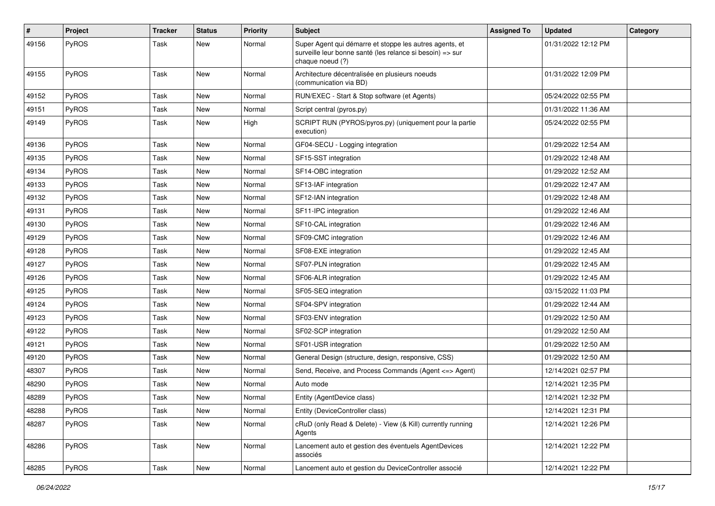| $\#$  | Project | Tracker | <b>Status</b> | <b>Priority</b> | <b>Subject</b>                                                                                                                           | <b>Assigned To</b> | Updated             | Category |
|-------|---------|---------|---------------|-----------------|------------------------------------------------------------------------------------------------------------------------------------------|--------------------|---------------------|----------|
| 49156 | PyROS   | Task    | New           | Normal          | Super Agent qui démarre et stoppe les autres agents, et<br>surveille leur bonne santé (les relance si besoin) => sur<br>chaque noeud (?) |                    | 01/31/2022 12:12 PM |          |
| 49155 | PyROS   | Task    | New           | Normal          | Architecture décentralisée en plusieurs noeuds<br>(communication via BD)                                                                 |                    | 01/31/2022 12:09 PM |          |
| 49152 | PyROS   | Task    | New           | Normal          | RUN/EXEC - Start & Stop software (et Agents)                                                                                             |                    | 05/24/2022 02:55 PM |          |
| 49151 | PyROS   | Task    | New           | Normal          | Script central (pyros.py)                                                                                                                |                    | 01/31/2022 11:36 AM |          |
| 49149 | PyROS   | Task    | New           | High            | SCRIPT RUN (PYROS/pyros.py) (uniquement pour la partie<br>execution)                                                                     |                    | 05/24/2022 02:55 PM |          |
| 49136 | PyROS   | Task    | New           | Normal          | GF04-SECU - Logging integration                                                                                                          |                    | 01/29/2022 12:54 AM |          |
| 49135 | PyROS   | Task    | New           | Normal          | SF15-SST integration                                                                                                                     |                    | 01/29/2022 12:48 AM |          |
| 49134 | PyROS   | Task    | New           | Normal          | SF14-OBC integration                                                                                                                     |                    | 01/29/2022 12:52 AM |          |
| 49133 | PyROS   | Task    | New           | Normal          | SF13-IAF integration                                                                                                                     |                    | 01/29/2022 12:47 AM |          |
| 49132 | PyROS   | Task    | <b>New</b>    | Normal          | SF12-IAN integration                                                                                                                     |                    | 01/29/2022 12:48 AM |          |
| 49131 | PyROS   | Task    | <b>New</b>    | Normal          | SF11-IPC integration                                                                                                                     |                    | 01/29/2022 12:46 AM |          |
| 49130 | PyROS   | Task    | New           | Normal          | SF10-CAL integration                                                                                                                     |                    | 01/29/2022 12:46 AM |          |
| 49129 | PyROS   | Task    | New           | Normal          | SF09-CMC integration                                                                                                                     |                    | 01/29/2022 12:46 AM |          |
| 49128 | PyROS   | Task    | New           | Normal          | SF08-EXE integration                                                                                                                     |                    | 01/29/2022 12:45 AM |          |
| 49127 | PyROS   | Task    | New           | Normal          | SF07-PLN integration                                                                                                                     |                    | 01/29/2022 12:45 AM |          |
| 49126 | PyROS   | Task    | New           | Normal          | SF06-ALR integration                                                                                                                     |                    | 01/29/2022 12:45 AM |          |
| 49125 | PyROS   | Task    | New           | Normal          | SF05-SEQ integration                                                                                                                     |                    | 03/15/2022 11:03 PM |          |
| 49124 | PyROS   | Task    | New           | Normal          | SF04-SPV integration                                                                                                                     |                    | 01/29/2022 12:44 AM |          |
| 49123 | PyROS   | Task    | New           | Normal          | SF03-ENV integration                                                                                                                     |                    | 01/29/2022 12:50 AM |          |
| 49122 | PyROS   | Task    | New           | Normal          | SF02-SCP integration                                                                                                                     |                    | 01/29/2022 12:50 AM |          |
| 49121 | PyROS   | Task    | New           | Normal          | SF01-USR integration                                                                                                                     |                    | 01/29/2022 12:50 AM |          |
| 49120 | PyROS   | Task    | New           | Normal          | General Design (structure, design, responsive, CSS)                                                                                      |                    | 01/29/2022 12:50 AM |          |
| 48307 | PyROS   | Task    | New           | Normal          | Send, Receive, and Process Commands (Agent <= > Agent)                                                                                   |                    | 12/14/2021 02:57 PM |          |
| 48290 | PyROS   | Task    | New           | Normal          | Auto mode                                                                                                                                |                    | 12/14/2021 12:35 PM |          |
| 48289 | PyROS   | Task    | New           | Normal          | Entity (AgentDevice class)                                                                                                               |                    | 12/14/2021 12:32 PM |          |
| 48288 | PyROS   | Task    | New           | Normal          | Entity (DeviceController class)                                                                                                          |                    | 12/14/2021 12:31 PM |          |
| 48287 | PyROS   | Task    | New           | Normal          | cRuD (only Read & Delete) - View (& Kill) currently running<br>Agents                                                                    |                    | 12/14/2021 12:26 PM |          |
| 48286 | PyROS   | Task    | New           | Normal          | Lancement auto et gestion des éventuels AgentDevices<br>associés                                                                         |                    | 12/14/2021 12:22 PM |          |
| 48285 | PyROS   | Task    | New           | Normal          | Lancement auto et gestion du DeviceController associé                                                                                    |                    | 12/14/2021 12:22 PM |          |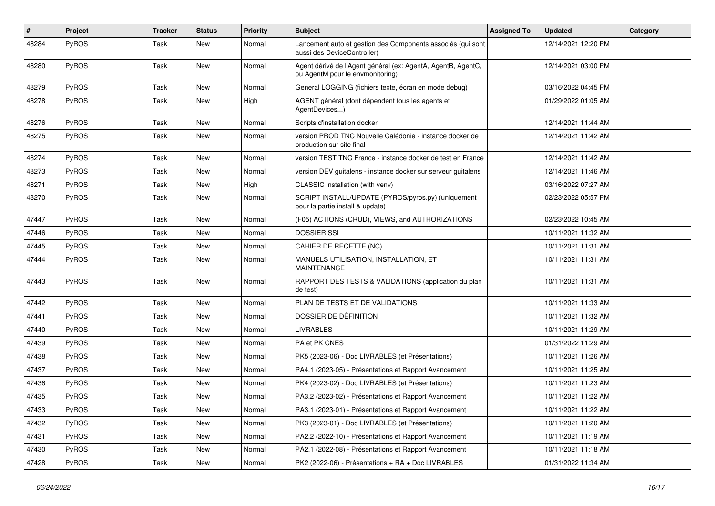| #     | Project      | <b>Tracker</b> | <b>Status</b> | <b>Priority</b> | <b>Subject</b>                                                                                   | <b>Assigned To</b> | <b>Updated</b>      | Category |
|-------|--------------|----------------|---------------|-----------------|--------------------------------------------------------------------------------------------------|--------------------|---------------------|----------|
| 48284 | PyROS        | Task           | <b>New</b>    | Normal          | Lancement auto et gestion des Components associés (qui sont<br>aussi des DeviceController)       |                    | 12/14/2021 12:20 PM |          |
| 48280 | PyROS        | Task           | <b>New</b>    | Normal          | Agent dérivé de l'Agent général (ex: AgentA, AgentB, AgentC,<br>ou AgentM pour le envmonitoring) |                    | 12/14/2021 03:00 PM |          |
| 48279 | PyROS        | Task           | <b>New</b>    | Normal          | General LOGGING (fichiers texte, écran en mode debug)                                            |                    | 03/16/2022 04:45 PM |          |
| 48278 | PyROS        | Task           | <b>New</b>    | High            | AGENT général (dont dépendent tous les agents et<br>AgentDevices)                                |                    | 01/29/2022 01:05 AM |          |
| 48276 | PyROS        | Task           | New           | Normal          | Scripts d'installation docker                                                                    |                    | 12/14/2021 11:44 AM |          |
| 48275 | PyROS        | Task           | <b>New</b>    | Normal          | version PROD TNC Nouvelle Calédonie - instance docker de<br>production sur site final            |                    | 12/14/2021 11:42 AM |          |
| 48274 | PyROS        | Task           | New           | Normal          | version TEST TNC France - instance docker de test en France                                      |                    | 12/14/2021 11:42 AM |          |
| 48273 | PyROS        | Task           | <b>New</b>    | Normal          | version DEV guitalens - instance docker sur serveur guitalens                                    |                    | 12/14/2021 11:46 AM |          |
| 48271 | PyROS        | Task           | <b>New</b>    | High            | CLASSIC installation (with venv)                                                                 |                    | 03/16/2022 07:27 AM |          |
| 48270 | <b>PyROS</b> | Task           | <b>New</b>    | Normal          | SCRIPT INSTALL/UPDATE (PYROS/pyros.py) (uniquement<br>pour la partie install & update)           |                    | 02/23/2022 05:57 PM |          |
| 47447 | PyROS        | Task           | New           | Normal          | (F05) ACTIONS (CRUD), VIEWS, and AUTHORIZATIONS                                                  |                    | 02/23/2022 10:45 AM |          |
| 47446 | PyROS        | Task           | <b>New</b>    | Normal          | <b>DOSSIER SSI</b>                                                                               |                    | 10/11/2021 11:32 AM |          |
| 47445 | PyROS        | Task           | <b>New</b>    | Normal          | CAHIER DE RECETTE (NC)                                                                           |                    | 10/11/2021 11:31 AM |          |
| 47444 | PyROS        | Task           | New           | Normal          | MANUELS UTILISATION, INSTALLATION, ET<br><b>MAINTENANCE</b>                                      |                    | 10/11/2021 11:31 AM |          |
| 47443 | PyROS        | Task           | <b>New</b>    | Normal          | RAPPORT DES TESTS & VALIDATIONS (application du plan<br>de test)                                 |                    | 10/11/2021 11:31 AM |          |
| 47442 | PyROS        | Task           | <b>New</b>    | Normal          | PLAN DE TESTS ET DE VALIDATIONS                                                                  |                    | 10/11/2021 11:33 AM |          |
| 47441 | PyROS        | Task           | New           | Normal          | DOSSIER DE DÉFINITION                                                                            |                    | 10/11/2021 11:32 AM |          |
| 47440 | PyROS        | Task           | <b>New</b>    | Normal          | <b>LIVRABLES</b>                                                                                 |                    | 10/11/2021 11:29 AM |          |
| 47439 | PyROS        | Task           | <b>New</b>    | Normal          | PA et PK CNES                                                                                    |                    | 01/31/2022 11:29 AM |          |
| 47438 | PyROS        | Task           | New           | Normal          | PK5 (2023-06) - Doc LIVRABLES (et Présentations)                                                 |                    | 10/11/2021 11:26 AM |          |
| 47437 | PyROS        | Task           | <b>New</b>    | Normal          | PA4.1 (2023-05) - Présentations et Rapport Avancement                                            |                    | 10/11/2021 11:25 AM |          |
| 47436 | PyROS        | Task           | <b>New</b>    | Normal          | PK4 (2023-02) - Doc LIVRABLES (et Présentations)                                                 |                    | 10/11/2021 11:23 AM |          |
| 47435 | PyROS        | Task           | New           | Normal          | PA3.2 (2023-02) - Présentations et Rapport Avancement                                            |                    | 10/11/2021 11:22 AM |          |
| 47433 | PyROS        | Task           | <b>New</b>    | Normal          | PA3.1 (2023-01) - Présentations et Rapport Avancement                                            |                    | 10/11/2021 11:22 AM |          |
| 47432 | PyROS        | Task           | New           | Normal          | PK3 (2023-01) - Doc LIVRABLES (et Présentations)                                                 |                    | 10/11/2021 11:20 AM |          |
| 47431 | PyROS        | Task           | New           | Normal          | PA2.2 (2022-10) - Présentations et Rapport Avancement                                            |                    | 10/11/2021 11:19 AM |          |
| 47430 | PyROS        | Task           | New           | Normal          | PA2.1 (2022-08) - Présentations et Rapport Avancement                                            |                    | 10/11/2021 11:18 AM |          |
| 47428 | PyROS        | Task           | New           | Normal          | PK2 (2022-06) - Présentations + RA + Doc LIVRABLES                                               |                    | 01/31/2022 11:34 AM |          |